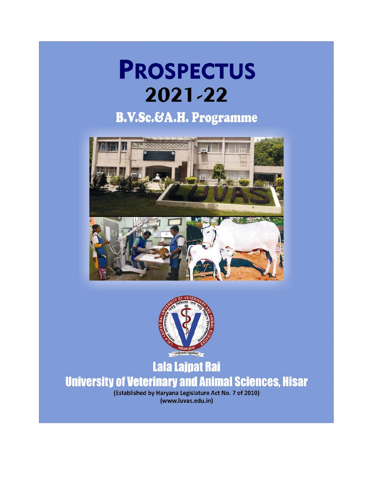# **PROSPECTUS** 2021-22

## **B.V.Sc.&A.H. Programme**





## Lala Lajpat Rai **University of Veterinary and Animal Sciences, Hisar**

(Established by Haryana Legislature Act No. 7 of 2010) (www.luvas.edu.in)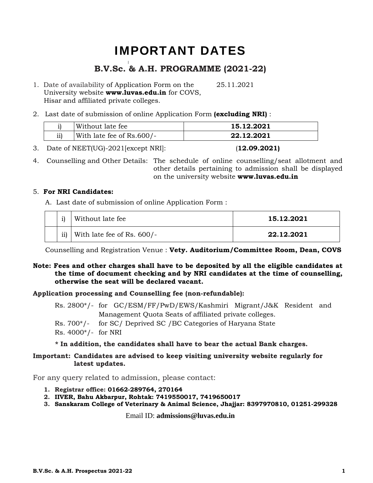## IMPORTANT DATES

## **B.V.Sc. & A.H. PROGRAMME (2021-22)**

- 1. Date of availability of Application Form on the 25.11.2021 University website **www.luvas.edu.in** for COVS, Hisar and affiliated private colleges.
- 2. Last date of submission of online Application Form **(excluding NRI)** :

|     | Without late fee          | 15.12.2021 |
|-----|---------------------------|------------|
| ii) | With late fee of Rs.600/- | 22.12.2021 |

3. Date of NEET(UG)-2021[except NRI]: (**12.09.2021)**

4. Counselling and Other Details: The schedule of online counselling/seat allotment and other details pertaining to admission shall be displayed on the university website **www.luvas.edu.in**

## 5. **For NRI Candidates:**

A. Last date of submission of online Application Form :

|     | Without late fee           | 15.12.2021 |
|-----|----------------------------|------------|
| ii) | With late fee of Rs. 600/- | 22.12.2021 |

Counselling and Registration Venue : **Vety. Auditorium/Committee Room, Dean, COVS**

## **Note: Fees and other charges shall have to be deposited by all the eligible candidates at the time of document checking and by NRI candidates at the time of counselling, otherwise the seat will be declared vacant.**

## **Application processing and Counselling fee (non-refundable):**

- Rs. 2800\*/- for GC/ESM/FF/PwD/EWS/Kashmiri Migrant/J&K Resident and Management Quota Seats of affiliated private colleges.
- Rs. 700\*/- for SC/ Deprived SC /BC Categories of Haryana State

Rs. 4000\*/- for NRI

**\* In addition, the candidates shall have to bear the actual Bank charges.** 

## **Important: Candidates are advised to keep visiting university website regularly for latest updates.**

For any query related to admission, please contact:

- **1. Registrar office: 01662-289764, 270164**
- **2. IIVER, Bahu Akbarpur, Rohtak: 7419550017, 7419650017**
- **3. Sanskaram College of Veterinary & Animal Science, Jhajjar: 8397970810, 01251-299328**

Email ID: **admissions@luvas.edu.in**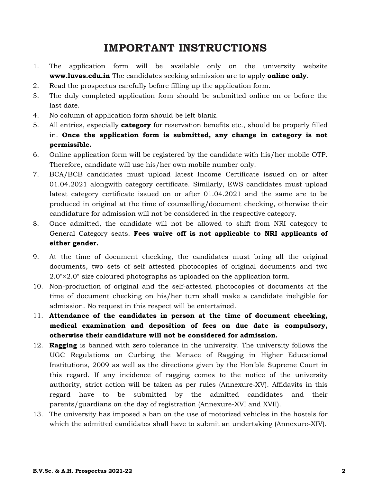## **IMPORTANT INSTRUCTIONS**

- 1. The application form will be available only on the university website **www.luvas.edu.in** The candidates seeking admission are to apply **online only**.
- 2. Read the prospectus carefully before filling up the application form.
- 3. The duly completed application form should be submitted online on or before the last date.
- 4. No column of application form should be left blank.
- 5. All entries, especially **category** for reservation benefits etc., should be properly filled in. **Once the application form is submitted, any change in category is not permissible.**
- 6. Online application form will be registered by the candidate with his/her mobile OTP. Therefore, candidate will use his/her own mobile number only.
- 7. BCA/BCB candidates must upload latest Income Certificate issued on or after 01.04.2021 alongwith category certificate. Similarly, EWS candidates must upload latest category certificate issued on or after 01.04.2021 and the same are to be produced in original at the time of counselling/document checking, otherwise their candidature for admission will not be considered in the respective category.
- 8. Once admitted, the candidate will not be allowed to shift from NRI category to General Category seats. **Fees waive off is not applicable to NRI applicants of either gender.**
- 9. At the time of document checking, the candidates must bring all the original documents, two sets of self attested photocopies of original documents and two 2.0"×2.0" size coloured photographs as uploaded on the application form.
- 10. Non-production of original and the self-attested photocopies of documents at the time of document checking on his/her turn shall make a candidate ineligible for admission. No request in this respect will be entertained.
- 11. **Attendance of the candidates in person at the time of document checking, medical examination and deposition of fees on due date is compulsory, otherwise their candidature will not be considered for admission.**
- 12. **Ragging** is banned with zero tolerance in the university. The university follows the UGC Regulations on Curbing the Menace of Ragging in Higher Educational Institutions, 2009 as well as the directions given by the Hon'ble Supreme Court in this regard. If any incidence of ragging comes to the notice of the university authority, strict action will be taken as per rules (Annexure-XV). Affidavits in this regard have to be submitted by the admitted candidates and their parents/guardians on the day of registration (Annexure-XVI and XVII).
- 13. The university has imposed a ban on the use of motorized vehicles in the hostels for which the admitted candidates shall have to submit an undertaking (Annexure-XIV).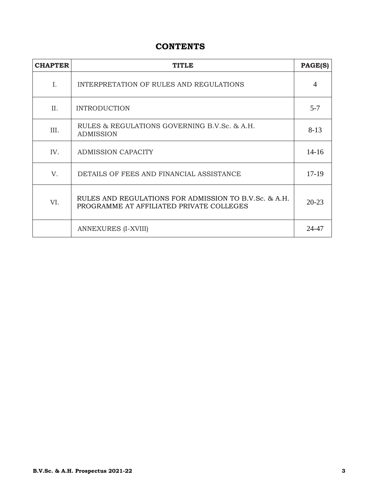## **CONTENTS**

| <b>CHAPTER</b> | <b>TITLE</b>                                                                                      | PAGE(S)        |
|----------------|---------------------------------------------------------------------------------------------------|----------------|
| I.             | INTERPRETATION OF RULES AND REGULATIONS                                                           | $\overline{A}$ |
| II.            | <b>INTRODUCTION</b>                                                                               | $5 - 7$        |
| III.           | RULES & REGULATIONS GOVERNING B.V.Sc. & A.H.<br><b>ADMISSION</b>                                  | $8-13$         |
| IV.            | <b>ADMISSION CAPACITY</b>                                                                         | $14 - 16$      |
| V.             | DETAILS OF FEES AND FINANCIAL ASSISTANCE                                                          | $17-19$        |
| VI.            | RULES AND REGULATIONS FOR ADMISSION TO B.V.Sc. & A.H.<br>PROGRAMME AT AFFILIATED PRIVATE COLLEGES | $20 - 23$      |
|                | ANNEXURES (I-XVIII)                                                                               | 24-47          |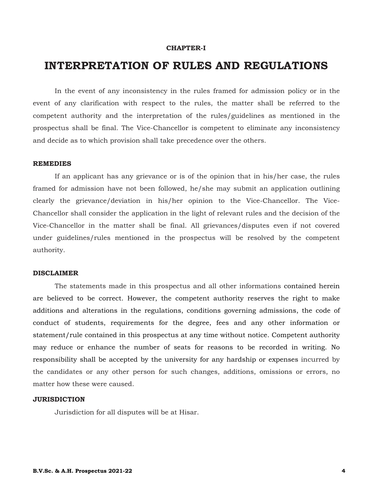#### **CHAPTER-I**

## **INTERPRETATION OF RULES AND REGULATIONS**

In the event of any inconsistency in the rules framed for admission policy or in the event of any clarification with respect to the rules, the matter shall be referred to the competent authority and the interpretation of the rules/guidelines as mentioned in the prospectus shall be final. The Vice-Chancellor is competent to eliminate any inconsistency and decide as to which provision shall take precedence over the others.

## **REMEDIES**

If an applicant has any grievance or is of the opinion that in his/her case, the rules framed for admission have not been followed, he/she may submit an application outlining clearly the grievance/deviation in his/her opinion to the Vice-Chancellor. The Vice-Chancellor shall consider the application in the light of relevant rules and the decision of the Vice-Chancellor in the matter shall be final. All grievances/disputes even if not covered under guidelines/rules mentioned in the prospectus will be resolved by the competent authority.

## **DISCLAIMER**

The statements made in this prospectus and all other informations contained herein are believed to be correct. However, the competent authority reserves the right to make additions and alterations in the regulations, conditions governing admissions, the code of conduct of students, requirements for the degree, fees and any other information or statement/rule contained in this prospectus at any time without notice. Competent authority may reduce or enhance the number of seats for reasons to be recorded in writing. No responsibility shall be accepted by the university for any hardship or expenses incurred by the candidates or any other person for such changes, additions, omissions or errors, no matter how these were caused.

#### **JURISDICTION**

Jurisdiction for all disputes will be at Hisar.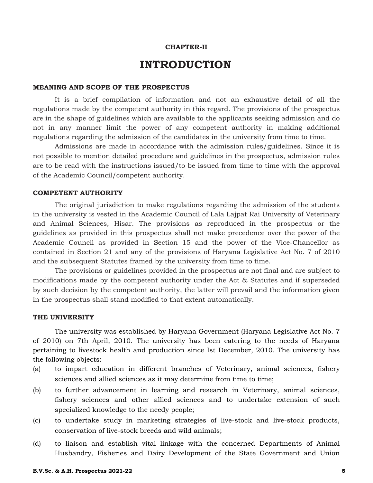#### **CHAPTER-II**

## **INTRODUCTION**

#### **MEANING AND SCOPE OF THE PROSPECTUS**

It is a brief compilation of information and not an exhaustive detail of all the regulations made by the competent authority in this regard. The provisions of the prospectus are in the shape of guidelines which are available to the applicants seeking admission and do not in any manner limit the power of any competent authority in making additional regulations regarding the admission of the candidates in the university from time to time.

Admissions are made in accordance with the admission rules/guidelines. Since it is not possible to mention detailed procedure and guidelines in the prospectus, admission rules are to be read with the instructions issued/to be issued from time to time with the approval of the Academic Council/competent authority.

#### **COMPETENT AUTHORITY**

The original jurisdiction to make regulations regarding the admission of the students in the university is vested in the Academic Council of Lala Lajpat Rai University of Veterinary and Animal Sciences, Hisar. The provisions as reproduced in the prospectus or the guidelines as provided in this prospectus shall not make precedence over the power of the Academic Council as provided in Section 15 and the power of the Vice-Chancellor as contained in Section 21 and any of the provisions of Haryana Legislative Act No. 7 of 2010 and the subsequent Statutes framed by the university from time to time.

The provisions or guidelines provided in the prospectus are not final and are subject to modifications made by the competent authority under the Act & Statutes and if superseded by such decision by the competent authority, the latter will prevail and the information given in the prospectus shall stand modified to that extent automatically.

#### **THE UNIVERSITY**

The university was established by Haryana Government (Haryana Legislative Act No. 7 of 2010) on 7th April, 2010. The university has been catering to the needs of Haryana pertaining to livestock health and production since Ist December, 2010. The university has the following objects: -

- (a) to impart education in different branches of Veterinary, animal sciences, fishery sciences and allied sciences as it may determine from time to time;
- (b) to further advancement in learning and research in Veterinary, animal sciences, fishery sciences and other allied sciences and to undertake extension of such specialized knowledge to the needy people;
- (c) to undertake study in marketing strategies of live-stock and live-stock products, conservation of live-stock breeds and wild animals;
- (d) to liaison and establish vital linkage with the concerned Departments of Animal Husbandry, Fisheries and Dairy Development of the State Government and Union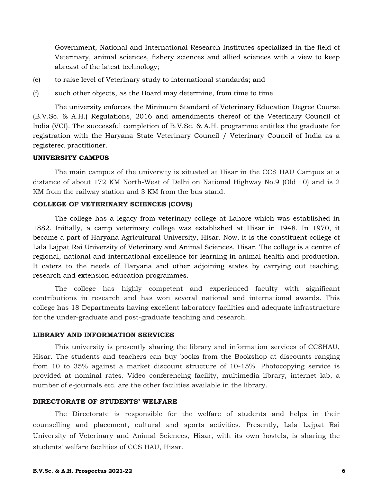Government, National and International Research Institutes specialized in the field of Veterinary, animal sciences, fishery sciences and allied sciences with a view to keep abreast of the latest technology;

- (e) to raise level of Veterinary study to international standards; and
- (f) such other objects, as the Board may determine, from time to time.

The university enforces the Minimum Standard of Veterinary Education Degree Course (B.V.Sc. & A.H.) Regulations, 2016 and amendments thereof of the Veterinary Council of India (VCI). The successful completion of B.V.Sc. & A.H. programme entitles the graduate for registration with the Haryana State Veterinary Council / Veterinary Council of India as a registered practitioner.

#### **UNIVERSITY CAMPUS**

The main campus of the university is situated at Hisar in the CCS HAU Campus at a distance of about 172 KM North-West of Delhi on National Highway No.9 (Old 10) and is 2 KM from the railway station and 3 KM from the bus stand.

#### **COLLEGE OF VETERINARY SCIENCES (COVS)**

The college has a legacy from veterinary college at Lahore which was established in 1882. Initially, a camp veterinary college was established at Hisar in 1948. In 1970, it became a part of Haryana Agricultural University, Hisar. Now, it is the constituent college of Lala Lajpat Rai University of Veterinary and Animal Sciences, Hisar. The college is a centre of regional, national and international excellence for learning in animal health and production. It caters to the needs of Haryana and other adjoining states by carrying out teaching, research and extension education programmes.

The college has highly competent and experienced faculty with significant contributions in research and has won several national and international awards. This college has 18 Departments having excellent laboratory facilities and adequate infrastructure for the under-graduate and post-graduate teaching and research.

#### **LIBRARY AND INFORMATION SERVICES**

This university is presently sharing the library and information services of CCSHAU, Hisar. The students and teachers can buy books from the Bookshop at discounts ranging from 10 to 35% against a market discount structure of 10-15%. Photocopying service is provided at nominal rates. Video conferencing facility, multimedia library, internet lab, a number of e-journals etc. are the other facilities available in the library.

## **DIRECTORATE OF STUDENTS' WELFARE**

The Directorate is responsible for the welfare of students and helps in their counselling and placement, cultural and sports activities. Presently, Lala Lajpat Rai University of Veterinary and Animal Sciences, Hisar, with its own hostels, is sharing the students' welfare facilities of CCS HAU, Hisar.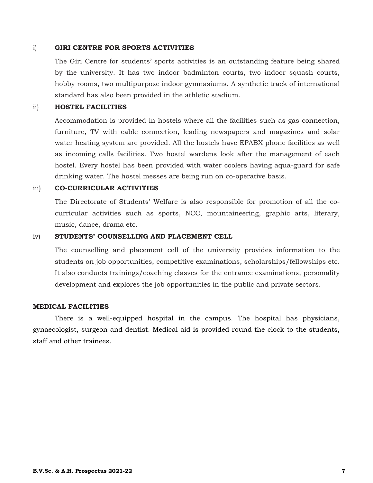#### i) **GIRI CENTRE FOR SPORTS ACTIVITIES**

The Giri Centre for students' sports activities is an outstanding feature being shared by the university. It has two indoor badminton courts, two indoor squash courts, hobby rooms, two multipurpose indoor gymnasiums. A synthetic track of international standard has also been provided in the athletic stadium.

#### ii) **HOSTEL FACILITIES**

Accommodation is provided in hostels where all the facilities such as gas connection, furniture, TV with cable connection, leading newspapers and magazines and solar water heating system are provided. All the hostels have EPABX phone facilities as well as incoming calls facilities. Two hostel wardens look after the management of each hostel. Every hostel has been provided with water coolers having aqua-guard for safe drinking water. The hostel messes are being run on co-operative basis.

#### iii) **CO-CURRICULAR ACTIVITIES**

The Directorate of Students' Welfare is also responsible for promotion of all the cocurricular activities such as sports, NCC, mountaineering, graphic arts, literary, music, dance, drama etc.

## iv) **STUDENTS' COUNSELLING AND PLACEMENT CELL**

The counselling and placement cell of the university provides information to the students on job opportunities, competitive examinations, scholarships/fellowships etc. It also conducts trainings/coaching classes for the entrance examinations, personality development and explores the job opportunities in the public and private sectors.

#### **MEDICAL FACILITIES**

There is a well-equipped hospital in the campus. The hospital has physicians, gynaecologist, surgeon and dentist. Medical aid is provided round the clock to the students, staff and other trainees.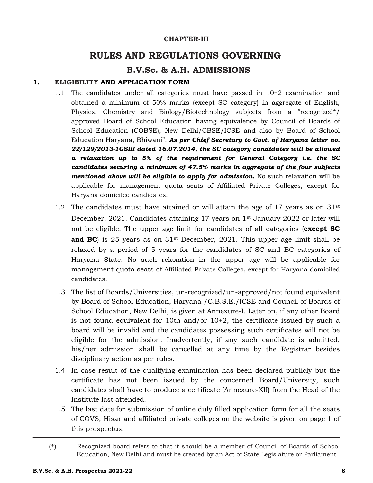#### **CHAPTER-III**

## **RULES AND REGULATIONS GOVERNING**

## **B.V.Sc. & A.H. ADMISSIONS**

## **1. ELIGIBILITY AND APPLICATION FORM**

- 1.1 The candidates under all categories must have passed in 10+2 examination and obtained a minimum of 50% marks (except SC category) in aggregate of English, Physics, Chemistry and Biology/Biotechnology subjects from a "recognized\*/ approved Board of School Education having equivalence by Council of Boards of School Education (COBSE), New Delhi/CBSE/ICSE and also by Board of School Education Haryana, Bhiwani". *As per Chief Secretary to Govt. of Haryana letter no. 22/129/2013-1GSIII dated 16.07.2014, the SC category candidates will be allowed a relaxation up to 5% of the requirement for General Category i.e. the SC candidates securing a minimum of 47.5% marks in aggregate of the four subjects mentioned above will be eligible to apply for admission.* No such relaxation will be applicable for management quota seats of Affiliated Private Colleges, except for Haryana domiciled candidates.
- 1.2 The candidates must have attained or will attain the age of 17 years as on  $31<sup>st</sup>$ December, 2021. Candidates attaining 17 years on 1<sup>st</sup> January 2022 or later will not be eligible. The upper age limit for candidates of all categories (**except SC and BC**) is 25 years as on  $31<sup>st</sup>$  December, 2021. This upper age limit shall be relaxed by a period of 5 years for the candidates of SC and BC categories of Haryana State. No such relaxation in the upper age will be applicable for management quota seats of Affiliated Private Colleges, except for Haryana domiciled candidates.
- 1.3 The list of Boards/Universities, un-recognized/un-approved/not found equivalent by Board of School Education, Haryana /C.B.S.E./ICSE and Council of Boards of School Education, New Delhi, is given at Annexure-I. Later on, if any other Board is not found equivalent for 10th and/or  $10+2$ , the certificate issued by such a board will be invalid and the candidates possessing such certificates will not be eligible for the admission. Inadvertently, if any such candidate is admitted, his/her admission shall be cancelled at any time by the Registrar besides disciplinary action as per rules.
- 1.4 In case result of the qualifying examination has been declared publicly but the certificate has not been issued by the concerned Board/University, such candidates shall have to produce a certificate (Annexure-XII) from the Head of the Institute last attended.
- 1.5 The last date for submission of online duly filled application form for all the seats of COVS, Hisar and affiliated private colleges on the website is given on page 1 of this prospectus.

<sup>(\*)</sup> Recognized board refers to that it should be a member of Council of Boards of School Education, New Delhi and must be created by an Act of State Legislature or Parliament.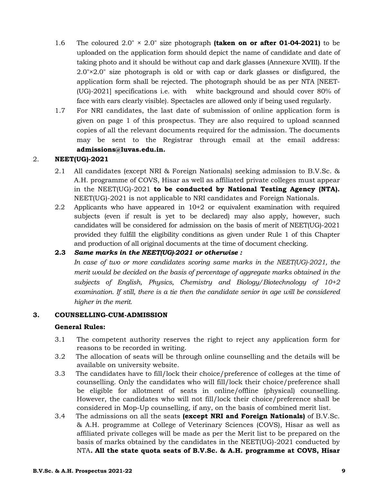- 1.6 The coloured 2.0" × 2.0" size photograph **(taken on or after 01-04-2021)** to be uploaded on the application form should depict the name of candidate and date of taking photo and it should be without cap and dark glasses (Annexure XVIII). If the 2.0"×2.0" size photograph is old or with cap or dark glasses or disfigured, the application form shall be rejected. The photograph should be as per NTA [NEET- (UG)-2021] specifications i.e. with white background and should cover 80% of face with ears clearly visible). Spectacles are allowed only if being used regularly.
- 1.7 For NRI candidates, the last date of submission of online application form is given on page 1 of this prospectus. They are also required to upload scanned copies of all the relevant documents required for the admission. The documents may be sent to the Registrar through email at the email address: **admissions@luvas.edu.in.**

## 2. **NEET(UG)-2021**

- 2.1 All candidates (except NRI & Foreign Nationals) seeking admission to B.V.Sc. & A.H. programme of COVS, Hisar as well as affiliated private colleges must appear in the NEET(UG)-2021 **to be conducted by National Testing Agency (NTA).** NEET(UG)-2021 is not applicable to NRI candidates and Foreign Nationals.
- 2.2 Applicants who have appeared in 10+2 or equivalent examination with required subjects (even if result is yet to be declared) may also apply, however, such candidates will be considered for admission on the basis of merit of NEET(UG)-2021 provided they fulfill the eligibility conditions as given under Rule 1 of this Chapter and production of all original documents at the time of document checking.

## **2.3** *Same marks in the NEET(UG)-2021 or otherwise :*

In case of two or more candidates scoring same marks in the NEET(UG)-2021, the *merit would be decided on the basis of percentage of aggregate marks obtained in the subjects of English, Physics, Chemistry and Biology/Biotechnology of 10+2 examination. If still, there is a tie then the candidate senior in age will be considered higher in the merit.* 

## **3. COUNSELLING-CUM-ADMISSION**

## **General Rules:**

- 3.1 The competent authority reserves the right to reject any application form for reasons to be recorded in writing.
- 3.2 The allocation of seats will be through online counselling and the details will be available on university website.
- 3.3 The candidates have to fill/lock their choice/preference of colleges at the time of counselling. Only the candidates who will fill/lock their choice/preference shall be eligible for allotment of seats in online/offline (physical) counselling. However, the candidates who will not fill/lock their choice/preference shall be considered in Mop-Up counselling, if any, on the basis of combined merit list.
- 3.4 The admissions on all the seats **(except NRI and Foreign Nationals)** of B.V.Sc. & A.H. programme at College of Veterinary Sciences (COVS), Hisar as well as affiliated private colleges will be made as per the Merit list to be prepared on the basis of marks obtained by the candidates in the NEET(UG)-2021 conducted by NTA*.* **All the state quota seats of B.V.Sc. & A.H. programme at COVS, Hisar**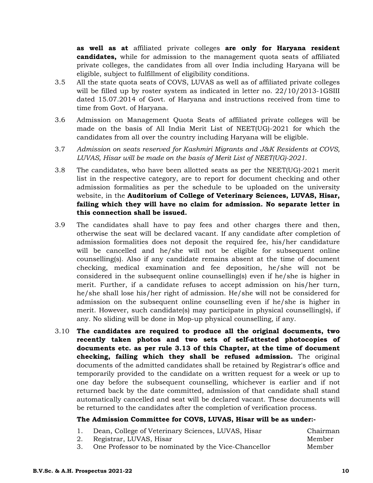**as well as at** affiliated private colleges **are only for Haryana resident candidates,** while for admission to the management quota seats of affiliated private colleges, the candidates from all over India including Haryana will be eligible, subject to fulfillment of eligibility conditions.

- 3.5 All the state quota seats of COVS, LUVAS as well as of affiliated private colleges will be filled up by roster system as indicated in letter no. 22/10/2013-1GSIII dated 15.07.2014 of Govt. of Haryana and instructions received from time to time from Govt. of Haryana.
- 3.6 Admission on Management Quota Seats of affiliated private colleges will be made on the basis of All India Merit List of NEET(UG)-2021 for which the candidates from all over the country including Haryana will be eligible.
- 3.7 *Admission on seats reserved for Kashmiri Migrants and J&K Residents at COVS, LUVAS, Hisar will be made on the basis of Merit List of NEET(UG)-2021.*
- 3.8 The candidates, who have been allotted seats as per the NEET(UG)-2021 merit list in the respective category, are to report for document checking and other admission formalities as per the schedule to be uploaded on the university website, in the **Auditorium of College of Veterinary Sciences, LUVAS, Hisar, failing which they will have no claim for admission. No separate letter in this connection shall be issued.**
- 3.9 The candidates shall have to pay fees and other charges there and then, otherwise the seat will be declared vacant. If any candidate after completion of admission formalities does not deposit the required fee, his/her candidature will be cancelled and he/she will not be eligible for subsequent online counselling(s). Also if any candidate remains absent at the time of document checking, medical examination and fee deposition, he/she will not be considered in the subsequent online counselling(s) even if he/she is higher in merit. Further, if a candidate refuses to accept admission on his/her turn, he/she shall lose his/her right of admission. He/she will not be considered for admission on the subsequent online counselling even if he/she is higher in merit. However, such candidate(s) may participate in physical counselling(s), if any. No sliding will be done in Mop-up physical counselling, if any.
- 3.10 **The candidates are required to produce all the original documents, two recently taken photos and two sets of self-attested photocopies of documents etc. as per rule 3.13 of this Chapter, at the time of document checking, failing which they shall be refused admission.** The original documents of the admitted candidates shall be retained by Registrar's office and temporarily provided to the candidate on a written request for a week or up to one day before the subsequent counselling, whichever is earlier and if not returned back by the date committed, admission of that candidate shall stand automatically cancelled and seat will be declared vacant. These documents will be returned to the candidates after the completion of verification process.

## **The Admission Committee for COVS, LUVAS, Hisar will be as under:-**

| 1. Dean, College of Veterinary Sciences, LUVAS, Hisar   | Chairman |
|---------------------------------------------------------|----------|
| 2. Registrar, LUVAS, Hisar                              | Member   |
| 3. One Professor to be nominated by the Vice-Chancellor | Member   |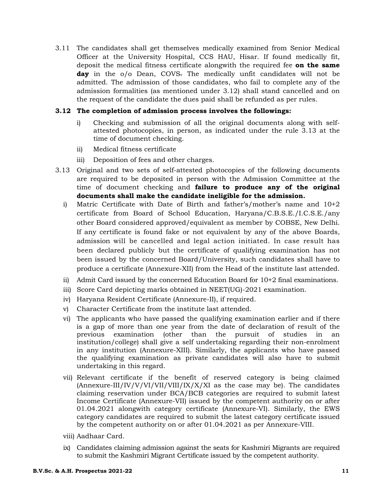3.11 The candidates shall get themselves medically examined from Senior Medical Officer at the University Hospital, CCS HAU, Hisar. If found medically fit, deposit the medical fitness certificate alongwith the required fee **on the same**  day in the o/o Dean, COVS. The medically unfit candidates will not be admitted. The admission of those candidates, who fail to complete any of the admission formalities (as mentioned under 3.12) shall stand cancelled and on the request of the candidate the dues paid shall be refunded as per rules.

## **3.12 The completion of admission process involves the followings:**

- i) Checking and submission of all the original documents along with selfattested photocopies, in person, as indicated under the rule 3.13 at the time of document checking.
- ii) Medical fitness certificate
- iii) Deposition of fees and other charges.
- 3.13 Original and two sets of self-attested photocopies of the following documents are required to be deposited in person with the Admission Committee at the time of document checking and **failure to produce any of the original documents shall make the candidate ineligible for the admission.**
	- i) Matric Certificate with Date of Birth and father's/mother's name and 10+2 certificate from Board of School Education, Haryana/C.B.S.E./I.C.S.E./any other Board considered approved/equivalent as member by COBSE, New Delhi. If any certificate is found fake or not equivalent by any of the above Boards, admission will be cancelled and legal action initiated. In case result has been declared publicly but the certificate of qualifying examination has not been issued by the concerned Board/University, such candidates shall have to produce a certificate (Annexure-XII) from the Head of the institute last attended.
	- ii) Admit Card issued by the concerned Education Board for 10+2 final examinations.
	- iii) Score Card depicting marks obtained in NEET(UG)-2021 examination.
	- iv) Haryana Resident Certificate (Annexure-II), if required.
	- v) Character Certificate from the institute last attended.
	- vi) The applicants who have passed the qualifying examination earlier and if there is a gap of more than one year from the date of declaration of result of the previous examination (other than the pursuit of studies in an institution/college) shall give a self undertaking regarding their non-enrolment in any institution (Annexure-XIII). Similarly, the applicants who have passed the qualifying examination as private candidates will also have to submit undertaking in this regard.
	- vii) Relevant certificate if the benefit of reserved category is being claimed  $(Annexure-III/IV/VV/VI/VII/VII/IVIIX/X/XI)$  as the case may be). The candidates claiming reservation under BCA/BCB categories are required to submit latest Income Certificate (Annexure-VII) issued by the competent authority on or after 01.04.2021 alongwith category certificate (Annexure-VI). Similarly, the EWS category candidates are required to submit the latest category certificate issued by the competent authority on or after 01.04.2021 as per Annexure-VIII.
	- viii) Aadhaar Card.
	- ix) Candidates claiming admission against the seats for Kashmiri Migrants are required to submit the Kashmiri Migrant Certificate issued by the competent authority.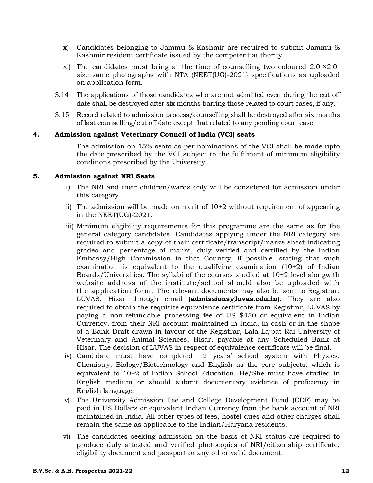- x) Candidates belonging to Jammu & Kashmir are required to submit Jammu & Kashmir resident certificate issued by the competent authority.
- xi) The candidates must bring at the time of counselling two coloured 2.0"×2.0" size same photographs with NTA {NEET(UG)-2021} specifications as uploaded on application form.
- 3.14 The applications of those candidates who are not admitted even during the cut off date shall be destroyed after six months barring those related to court cases, if any.
- 3.15 Record related to admission process/counselling shall be destroyed after six months of last counselling/cut off date except that related to any pending court case.

#### **4. Admission against Veterinary Council of India (VCI) seats**

The admission on 15% seats as per nominations of the VCI shall be made upto the date prescribed by the VCI subject to the fulfilment of minimum eligibility conditions prescribed by the University.

#### **5. Admission against NRI Seats**

- i) The NRI and their children/wards only will be considered for admission under this category.
- ii) The admission will be made on merit of 10+2 without requirement of appearing in the NEET(UG)-2021.
- iii) Minimum eligibility requirements for this programme are the same as for the general category candidates. Candidates applying under the NRI category are required to submit a copy of their certificate/transcript/marks sheet indicating grades and percentage of marks, duly verified and certified by the Indian Embassy/High Commission in that Country, if possible, stating that such examination is equivalent to the qualifying examination  $(10+2)$  of Indian Boards/Universities. The syllabi of the courses studied at 10+2 level alongwith website address of the institute/school should also be uploaded with the application form. The relevant documents may also be sent to Registrar, LUVAS, Hisar through email **(admissions@luvas.edu.in)**. They are also required to obtain the requisite equivalence certificate from Registrar, LUVAS by paying a non-refundable processing fee of US \$450 or equivalent in Indian Currency, from their NRI account maintained in India, in cash or in the shape of a Bank Draft drawn in favour of the Registrar, Lala Lajpat Rai University of Veterinary and Animal Sciences, Hisar, payable at any Scheduled Bank at Hisar. The decision of LUVAS in respect of equivalence certificate will be final.
- iv) Candidate must have completed 12 years' school system with Physics, Chemistry, Biology/Biotechnology and English as the core subjects, which is equivalent to 10+2 of Indian School Education. He/She must have studied in English medium or should submit documentary evidence of proficiency in English language.
- v) The University Admission Fee and College Development Fund (CDF) may be paid in US Dollars or equivalent Indian Currency from the bank account of NRI maintained in India. All other types of fees, hostel dues and other charges shall remain the same as applicable to the Indian/Haryana residents.
- vi) The candidates seeking admission on the basis of NRI status are required to produce duly attested and verified photocopies of NRI/citizenship certificate, eligibility document and passport or any other valid document.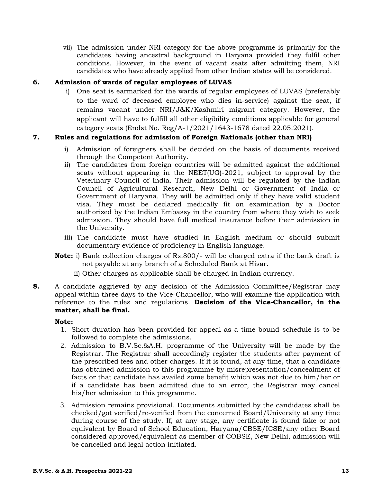vii) The admission under NRI category for the above programme is primarily for the candidates having ancestral background in Haryana provided they fulfil other conditions. However, in the event of vacant seats after admitting them, NRI candidates who have already applied from other Indian states will be considered.

## **6. Admission of wards of regular employees of LUVAS**

i) One seat is earmarked for the wards of regular employees of LUVAS (preferably to the ward of deceased employee who dies in-service) against the seat, if remains vacant under NRI/J&K/Kashmiri migrant category. However, the applicant will have to fulfill all other eligibility conditions applicable for general category seats (Endst No. Reg/A-1/2021/1643-1678 dated 22.05.2021).

## **7. Rules and regulations for admission of Foreign Nationals (other than NRI)**

- i) Admission of foreigners shall be decided on the basis of documents received through the Competent Authority.
- ii) The candidates from foreign countries will be admitted against the additional seats without appearing in the NEET(UG)-2021, subject to approval by the Veterinary Council of India. Their admission will be regulated by the Indian Council of Agricultural Research, New Delhi or Government of India or Government of Haryana. They will be admitted only if they have valid student visa. They must be declared medically fit on examination by a Doctor authorized by the Indian Embassy in the country from where they wish to seek admission. They should have full medical insurance before their admission in the University.
- iii) The candidate must have studied in English medium or should submit documentary evidence of proficiency in English language.
- **Note:** i) Bank collection charges of Rs.800/- will be charged extra if the bank draft is not payable at any branch of a Scheduled Bank at Hisar.
	- ii) Other charges as applicable shall be charged in Indian currency.
- **8.** A candidate aggrieved by any decision of the Admission Committee/Registrar may appeal within three days to the Vice-Chancellor, who will examine the application with reference to the rules and regulations. **Decision of the Vice-Chancellor, in the matter, shall be final.**

## **Note:**

- 1. Short duration has been provided for appeal as a time bound schedule is to be followed to complete the admissions.
- 2. Admission to B.V.Sc.&A.H. programme of the University will be made by the Registrar. The Registrar shall accordingly register the students after payment of the prescribed fees and other charges. If it is found, at any time, that a candidate has obtained admission to this programme by misrepresentation/concealment of facts or that candidate has availed some benefit which was not due to him/her or if a candidate has been admitted due to an error, the Registrar may cancel his/her admission to this programme.
- 3. Admission remains provisional. Documents submitted by the candidates shall be checked/got verified/re-verified from the concerned Board/University at any time during course of the study. If, at any stage, any certificate is found fake or not equivalent by Board of School Education, Haryana/CBSE/ICSE/any other Board considered approved/equivalent as member of COBSE, New Delhi, admission will be cancelled and legal action initiated.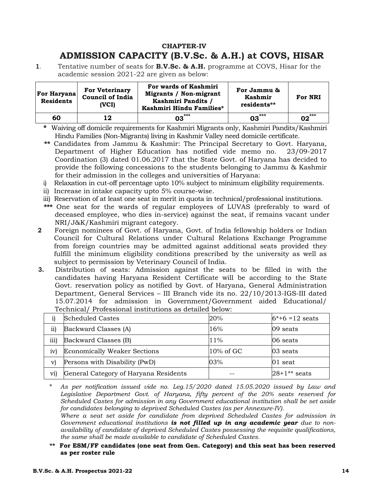## **CHAPTER-IV ADMISSION CAPACITY (B.V.Sc. & A.H.) at COVS, HISAR**

**1**. Tentative number of seats for **B.V.Sc. & A.H.** programme at COVS, Hisar for the academic session 2021-22 are given as below:

| <b>For Haryana</b><br><b>Residents</b> | <b>For Veterinary</b><br><b>Council of India</b><br>(VCI) | For wards of Kashmiri<br>For Jammu &<br>Migrants / Non-migrant<br>Kashmir<br>Kashmiri Pandits /<br>residents**<br>Kashmiri Hindu Families*<br>*** |        | For NRI              |
|----------------------------------------|-----------------------------------------------------------|---------------------------------------------------------------------------------------------------------------------------------------------------|--------|----------------------|
| 60                                     | 12                                                        | 03                                                                                                                                                | 03 *** | 02 $^{\ast\ast\ast}$ |

**\*** Waiving off domicile requirements for Kashmiri Migrants only, Kashmiri Pandits/Kashmiri Hindu Families (Non-Migrants) living in Kashmir Valley need domicile certificate.

- **\*\*\*** Candidates from Jammu & Kashmir: The Principal Secretary to Govt. Haryana, Department of Higher Education has notified vide memo no. 23/09-2017 Coordination (3) dated 01.06.2017 that the State Govt. of Haryana has decided to provide the following concessions to the students belonging to Jammu & Kashmir for their admission in the colleges and universities of Haryana:
- i) Relaxation in cut-off percentage upto 10% subject to minimum eligibility requirements.
- ii) Increase in intake capacity upto 5% course-wise.
- iii) Reservation of at least one seat in merit in quota in technical/professional institutions.
- **\*\*\*** One seat for the wards of regular employees of LUVAS (preferably to ward of deceased employee, who dies in-service) against the seat, if remains vacant under NRI/J&K/Kashmiri migrant category.
- **2** Foreign nominees of Govt. of Haryana, Govt. of India fellowship holders or Indian Council for Cultural Relations under Cultural Relations Exchange Programme from foreign countries may be admitted against additional seats provided they fulfill the minimum eligibility conditions prescribed by the university as well as subject to permission by Veterinary Council of India.
- **3.** Distribution of seats: Admission against the seats to be filled in with the candidates having Haryana Resident Certificate will be according to the State Govt. reservation policy as notified by Govt. of Haryana, General Administration Department, General Services – III Branch vide its no. 22/10/2013-IGS-III dated 15.07.2014 for admission in Government/Government aided Educational/ Technical/ Professional institutions as detailed below:

| 1)   | <b>Scheduled Castes</b>               | 20%          | $6*+6=12$ seats |
|------|---------------------------------------|--------------|-----------------|
| ii)  | Backward Classes (A)                  | 16%          | 09 seats        |
| iii) | Backward Classes (B)                  | $11\%$       | 06 seats        |
| iv)  | <b>Economically Weaker Sections</b>   | $10\%$ of GC | 03 seats        |
| V)   | Persons with Disability (PwD)         | 03%          | 01 seat         |
| vi)  | General Category of Haryana Residents |              | $28+1**$ seats  |

<sup>\*</sup> *As per notification issued vide no. Leg.15/2020 dated 15.05.2020 issued by Law and Legislative Department Govt. of Haryana, fifty percent of the 20% seats reserved for Scheduled Castes for admission in any Government educational institution shall be set aside for candidates belonging to deprived Scheduled Castes (as per Annexure-IV).* 

 *Where a seat set aside for candidate from deprived Scheduled Castes for admission in Government educational institutions is not filled up in any academic year due to nonavailability of candidate of deprived Scheduled Castes possessing the requisite qualifications, the same shall be made available to candidate of Scheduled Castes.*

**\*\* For ESM/FF candidates (one seat from Gen. Category) and this seat has been reserved as per roster rule**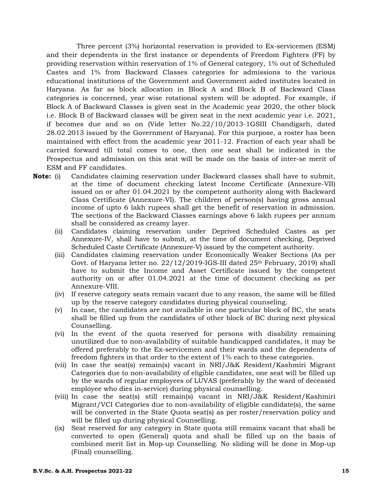Three percent (3%) horizontal reservation is provided to Ex-servicemen (ESM) and their dependents in the first instance or dependents of Freedom Fighters (FF) by providing reservation within reservation of 1% of General category, 1% out of Scheduled Castes and 1% from Backward Classes categories for admissions to the various educational institutions of the Government and Government aided institutes located in Haryana. As far as block allocation in Block A and Block B of Backward Class categories is concerned, year wise rotational system will be adopted. For example, if Block A of Backward Classes is given seat in the Academic year 2020, the other block i.e. Block B of Backward classes will be given seat in the next academic year i.e. 2021, if becomes due and so on (Vide letter No.22/10/2013-1GSIII Chandigarh, dated 28.02.2013 issued by the Government of Haryana). For this purpose, a roster has been maintained with effect from the academic year 2011-12. Fraction of each year shall be carried forward till total comes to one, then one seat shall be indicated in the Prospectus and admission on this seat will be made on the basis of inter-se merit of ESM and FF candidates.

- **Note:** (i) Candidates claiming reservation under Backward classes shall have to submit, at the time of document checking latest Income Certificate (Annexure-VII) issued on or after 01.04.2021 by the competent authority along with Backward Class Certificate (Annexure-VI). The children of person(s) having gross annual income of upto 6 lakh rupees shall get the benefit of reservation in admission. The sections of the Backward Classes earnings above 6 lakh rupees per annum shall be considered as creamy layer.
	- (ii) Candidates claiming reservation under Deprived Scheduled Castes as per Annexure-IV, shall have to submit, at the time of document checking, Deprived Scheduled Caste Certificate (Annexure-V) issued by the competent authority.
	- (iii) Candidates claiming reservation under Economically Weaker Sections (As per Govt. of Haryana letter no.  $22/12/2019$ -IGS-III dated  $25<sup>th</sup>$  February, 2019) shall have to submit the Income and Asset Certificate issued by the competent authority on or after 01.04.2021 at the time of document checking as per Annexure-VIII.
	- (iv) If reserve category seats remain vacant due to any reason, the same will be filled up by the reserve category candidates during physical counseling.
	- (v) In case, the candidates are not available in one particular block of BC, the seats shall be filled up from the candidates of other block of BC during next physical Counselling.
	- (vi) In the event of the quota reserved for persons with disability remaining unutilized due to non-availability of suitable handicapped candidates, it may be offered preferably to the Ex-servicemen and their wards and the dependents of freedom fighters in that order to the extent of 1% each to these categories.
	- (vii) In case the seat(s) remain(s) vacant in NRI/J&K Resident/Kashmiri Migrant Categories due to non-availability of eligible candidates, one seat will be filled up by the wards of regular employees of LUVAS (preferably by the ward of deceased employee who dies in-service) during physical counselling.
	- (viii) In case the seat(s) still remain(s) vacant in NRI/J&K Resident/Kashmiri Migrant/VCI Categories due to non-availability of eligible candidate(s), the same will be converted in the State Quota seat(s) as per roster/reservation policy and will be filled up during physical Counselling.
	- (ix) Seat reserved for any category in State quota still remains vacant that shall be converted to open (General) quota and shall be filled up on the basis of combined merit list in Mop-up Counselling. No sliding will be done in Mop-up (Final) counselling.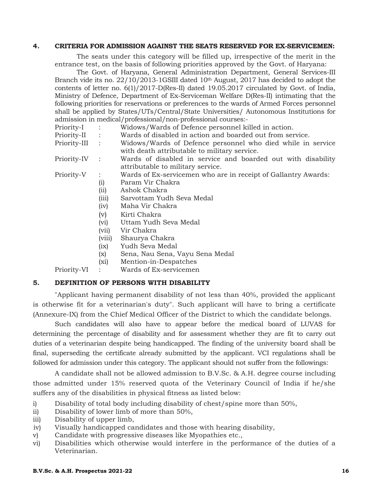#### **4. CRITERIA FOR ADMISSION AGAINST THE SEATS RESERVED FOR EX-SERVICEMEN:**

The seats under this category will be filled up, irrespective of the merit in the entrance test, on the basis of following priorities approved by the Govt. of Haryana:

The Govt. of Haryana, General Administration Department, General Services-III Branch vide its no. 22/10/2013-1GSIII dated 10<sup>th</sup> August, 2017 has decided to adopt the contents of letter no. 6(1)/2017-D(Res-II) dated 19.05.2017 circulated by Govt. of India, Ministry of Defence, Department of Ex-Serviceman Welfare D(Res-II) intimating that the following priorities for reservations or preferences to the wards of Armed Forces personnel shall be applied by States/UTs/Central/State Universities/ Autonomous Institutions for admission in medical/professional/non-professional courses:-

- Priority-I : Widows/Wards of Defence personnel killed in action.
- Priority-II : Wards of disabled in action and boarded out from service.
- Priority-III : Widows/Wards of Defence personnel who died while in service with death attributable to military service.
- Priority-IV : Wards of disabled in service and boarded out with disability attributable to military service.
- Priority-V : Wards of Ex-servicemen who are in receipt of Gallantry Awards:
	- (i) Param Vir Chakra
	- (ii) Ashok Chakra
	- (iii) Sarvottam Yudh Seva Medal
	- (iv) Maha Vir Chakra
	- (v) Kirti Chakra
	- (vi) Uttam Yudh Seva Medal
	- (vii) Vir Chakra
	- (viii) Shaurya Chakra
	- (ix) Yudh Seva Medal
	- (x) Sena, Nau Sena, Vayu Sena Medal
	- (xi) Mention-in-Despatches

Priority-VI : Wards of Ex-servicemen

## **5. DEFINITION OF PERSONS WITH DISABILITY**

"Applicant having permanent disability of not less than 40%, provided the applicant is otherwise fit for a veterinarian's duty". Such applicant will have to bring a certificate (Annexure-IX) from the Chief Medical Officer of the District to which the candidate belongs.

Such candidates will also have to appear before the medical board of LUVAS for determining the percentage of disability and for assessment whether they are fit to carry out duties of a veterinarian despite being handicapped. The finding of the university board shall be final, superseding the certificate already submitted by the applicant. VCI regulations shall be followed for admission under this category. The applicant should not suffer from the followings:

A candidate shall not be allowed admission to B.V.Sc. & A.H. degree course including those admitted under 15% reserved quota of the Veterinary Council of India if he/she suffers any of the disabilities in physical fitness as listed below:

- i) Disability of total body including disability of chest/spine more than 50%,
- ii) Disability of lower limb of more than 50%,
- iii) Disability of upper limb,
- iv) Visually handicapped candidates and those with hearing disability,
- v) Candidate with progressive diseases like Myopathies etc.,
- vi) Disabilities which otherwise would interfere in the performance of the duties of a Veterinarian.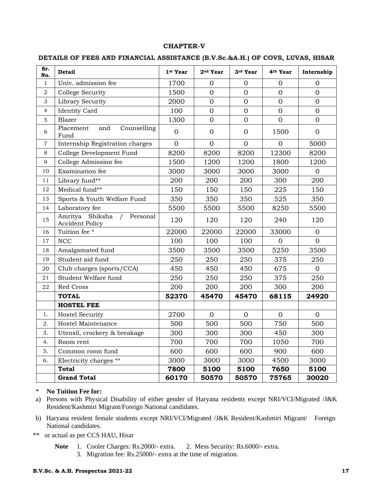#### **CHAPTER-V**

#### **DETAILS OF FEES AND FINANCIAL ASSISTANCE (B.V.Sc.&A.H.) OF COVS, LUVAS, HISAR**

| Sr.<br>No.     | <b>Detail</b>                                            | 1st Year       | 2 <sup>nd</sup> Year | 3rd Year       | 4 <sup>th</sup> Year | Internship     |
|----------------|----------------------------------------------------------|----------------|----------------------|----------------|----------------------|----------------|
| $\mathbf{1}$   | Univ. admission fee                                      | 1700           | $\overline{0}$       | $\mathbf{0}$   | $\overline{0}$       | $\mathbf{0}$   |
| $\sqrt{2}$     | <b>College Security</b>                                  | 1500           | $\overline{0}$       | $\overline{0}$ | $\overline{0}$       | $\mathbf{0}$   |
| 3              | Library Security                                         | 2000           | $\overline{0}$       | $\overline{0}$ | $\overline{0}$       | $\overline{0}$ |
| $\overline{4}$ | <b>Identity Card</b>                                     | 100            | $\overline{0}$       | $\overline{0}$ | $\overline{0}$       | $\overline{0}$ |
| 5              | Blazer                                                   | 1300           | $\overline{0}$       | $\overline{0}$ | $\overline{0}$       | $\overline{0}$ |
| 6              | Placement<br>Counselling<br>and<br>Fund                  | $\mathbf{0}$   | $\mathbf{0}$         | $\overline{0}$ | 1500                 | $\overline{0}$ |
| 7              | Internship Registration charges                          | $\overline{0}$ | $\overline{0}$       | $\overline{0}$ | $\overline{0}$       | 5000           |
| $\,8\,$        | College Development Fund                                 | 8200           | 8200                 | 8200           | 12300                | 8200           |
| 9              | College Admission fee                                    | 1500           | 1200                 | 1200           | 1800                 | 1200           |
| 10             | Examination fee                                          | 3000           | 3000                 | 3000           | 3000                 | $\overline{0}$ |
| 11             | Library fund**                                           | 200            | 200                  | 200            | 300                  | 200            |
| 12             | Medical fund**                                           | 150            | 150                  | 150            | 225                  | 150            |
| 13             | Sports & Youth Welfare Fund                              | 350            | 350                  | 350            | 525                  | 350            |
| 14             | Laboratory fee                                           | 5500           | 5500                 | 5500           | 8250                 | 5500           |
| 15             | Shiksha<br>Amritya<br>Personal<br><b>Accident Policy</b> | 120            | 120                  | 120            | 240                  | 120            |
| 16             | Tuition fee *                                            | 22000          | 22000                | 22000          | 33000                | $\mathbf{0}$   |
| 17             | <b>NCC</b>                                               | 100            | 100                  | 100            | $\Omega$             | $\overline{0}$ |
| 18             | Amalgamated fund                                         | 3500           | 3500                 | 3500           | 5250                 | 3500           |
| 19             | Student aid fund                                         | 250            | 250                  | 250            | 375                  | 250            |
| 20             | Club charges (sports/CCA)                                | 450            | 450                  | 450            | 675                  | $\overline{0}$ |
| 21             | Student Welfare fund                                     | 250            | 250                  | 250            | 375                  | 250            |
| 22             | Red Cross                                                | 200            | 200                  | 200            | 300                  | 200            |
|                | <b>TOTAL</b>                                             | 52370          | 45470                | 45470          | 68115                | 24920          |
|                | <b>HOSTEL FEE</b>                                        |                |                      |                |                      |                |
| 1.             | <b>Hostel Security</b>                                   | 2700           | $\mathbf{0}$         | $\overline{0}$ | $\Omega$             | $\mathbf{0}$   |
| 2.             | Hostel Maintenance                                       | 500            | 500                  | 500            | 750                  | 500            |
| 3.             | Utensil, crockery & breakage                             | 300            | 300                  | 300            | 450                  | 300            |
| 4.             | Room rent                                                | 700            | 700                  | 700            | 1050                 | 700            |
| 5.             | Common room fund                                         | 600            | 600                  | 600            | 900                  | 600            |
| 6.             | Electricity charges **                                   | 3000           | 3000                 | 3000           | 4500                 | 3000           |
|                | <b>Total</b>                                             | 7800           | 5100                 | 5100           | 7650                 | 5100           |
|                | <b>Grand Total</b>                                       | 60170          | 50570                | 50570          | 75765                | 30020          |

#### \* **No Tuition Fee for:**

- a) Persons with Physical Disability of either gender of Haryana residents except NRI/VCI/Migrated /J&K Resident/Kashmiri Migrant/Foreign National candidates.
- b) Haryana resident female students except NRI/VCI/Migrated /J&K Resident/Kashmiri Migrant/ Foreign National candidates.
- \*\* or actual as per CCS HAU, Hisar
	- **Note** 1.Cooler Charges: Rs.2000/- extra. 2.Mess Security: Rs.6000/- extra.
		- 3. Migration fee: Rs.25000/- extra at the time of migration.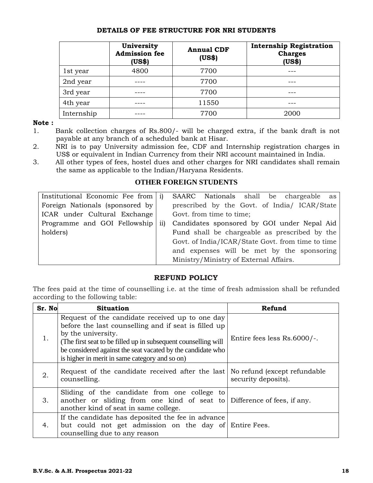## **DETAILS OF FEE STRUCTURE FOR NRI STUDENTS**

|            | University<br><b>Admission fee</b><br>(US\$) | <b>Annual CDF</b><br>(US\$) | <b>Internship Registration</b><br><b>Charges</b><br>(US\$) |
|------------|----------------------------------------------|-----------------------------|------------------------------------------------------------|
| 1st year   | 4800                                         | 7700                        |                                                            |
| 2nd year   |                                              | 7700                        |                                                            |
| 3rd year   |                                              | 7700                        |                                                            |
| 4th year   |                                              | 11550                       |                                                            |
| Internship |                                              | 7700                        | 2000                                                       |

#### **Note :**

- 1. Bank collection charges of Rs.800/- will be charged extra, if the bank draft is not payable at any branch of a scheduled bank at Hisar.
- 2. NRI is to pay University admission fee, CDF and Internship registration charges in US\$ or equivalent in Indian Currency from their NRI account maintained in India.
- 3. All other types of fees, hostel dues and other charges for NRI candidates shall remain the same as applicable to the Indian/Haryana Residents.

## **OTHER FOREIGN STUDENTS**

| Institutional Economic Fee from $ i\rangle$ |                 | SAARC Nationals shall be chargeable as            |
|---------------------------------------------|-----------------|---------------------------------------------------|
| Foreign Nationals (sponsored by             |                 | prescribed by the Govt. of India/ ICAR/State      |
| ICAR under Cultural Exchange                |                 | Govt. from time to time;                          |
| Programme and GOI Fellowship                | $\overline{11}$ | Candidates sponsored by GOI under Nepal Aid       |
| holders)                                    |                 | Fund shall be chargeable as prescribed by the     |
|                                             |                 | Govt. of India/ICAR/State Govt. from time to time |
|                                             |                 | and expenses will be met by the sponsoring        |
|                                             |                 | Ministry/Ministry of External Affairs.            |

## **REFUND POLICY**

The fees paid at the time of counselling i.e. at the time of fresh admission shall be refunded according to the following table:

| Sr. No | <b>Situation</b>                                                                                                                                                                                                                                                                                                 | Refund                      |
|--------|------------------------------------------------------------------------------------------------------------------------------------------------------------------------------------------------------------------------------------------------------------------------------------------------------------------|-----------------------------|
| 1.     | Request of the candidate received up to one day<br>before the last counselling and if seat is filled up<br>by the university.<br>(The first seat to be filled up in subsequent counselling will<br>be considered against the seat vacated by the candidate who<br>is higher in merit in same category and so on) | Entire fees less Rs.6000/-. |
| 2.     | Request of the candidate received after the last No refund (except refundable<br>counselling.                                                                                                                                                                                                                    | security deposits).         |
| 3.     | Sliding of the candidate from one college to<br>another or sliding from one kind of seat to Difference of fees, if any.<br>another kind of seat in same college.                                                                                                                                                 |                             |
| 4.     | If the candidate has deposited the fee in advance<br>but could not get admission on the day of Entire Fees.<br>counselling due to any reason                                                                                                                                                                     |                             |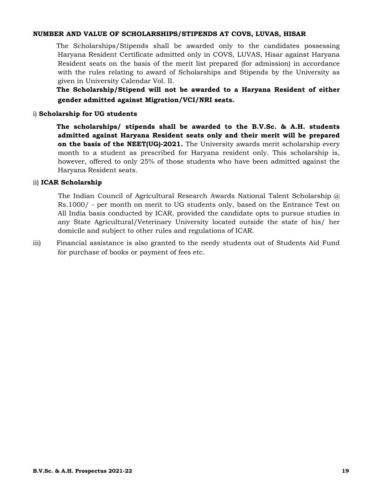#### **NUMBER AND VALUE OF SCHOLARSHIPS/STIPENDS AT COVS, LUVAS, HISAR**

The Scholarships/Stipends shall be awarded only to the candidates possessing Haryana Resident Certificate admitted only in COVS, LUVAS, Hisar against Haryana Resident seats on the basis of the merit list prepared (for admission) in accordance with the rules relating to award of Scholarships and Stipends by the University as given in University Calendar Vol. II.

**The Scholarship/Stipend will not be awarded to a Haryana Resident of either gender admitted against Migration/VCI/NRI seats.**

## i) **Scholarship for UG students**

**The scholarships/ stipends shall be awarded to the B.V.Sc. & A.H. students admitted against Haryana Resident seats only and their merit will be prepared on the basis of the NEET(UG)-2021.** The University awards merit scholarship every month to a student as prescribed for Haryana resident only. This scholarship is, however, offered to only 25% of those students who have been admitted against the Haryana Resident seats.

## ii) **ICAR Scholarship**

The Indian Council of Agricultural Research Awards National Talent Scholarship  $\omega$ Rs.1000/ - per month on merit to UG students only, based on the Entrance Test on All India basis conducted by ICAR, provided the candidate opts to pursue studies in any State Agricultural/Veterinary University located outside the state of his/ her domicile and subject to other rules and regulations of ICAR.

iii) Financial assistance is also granted to the needy students out of Students Aid Fund for purchase of books or payment of fees etc.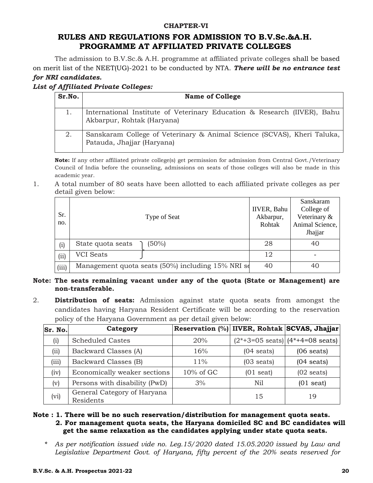## **CHAPTER-VI**

## **RULES AND REGULATIONS FOR ADMISSION TO B.V.Sc.&A.H. PROGRAMME AT AFFILIATED PRIVATE COLLEGES**

The admission to B.V.Sc.& A.H. programme at affiliated private colleges shall be based on merit list of the NEET(UG)-2021 to be conducted by NTA. *There will be no entrance test for NRI candidates.* 

*List of Affiliated Private Colleges:* 

| Sr.No. | <b>Name of College</b>                                                                                 |  |  |  |  |  |
|--------|--------------------------------------------------------------------------------------------------------|--|--|--|--|--|
|        | International Institute of Veterinary Education & Research (IIVER), Bahu<br>Akbarpur, Rohtak (Haryana) |  |  |  |  |  |
| 2.     | Sanskaram College of Veterinary & Animal Science (SCVAS), Kheri Taluka,<br>Patauda, Jhajjar (Haryana)  |  |  |  |  |  |

**Note:** If any other affiliated private college(s) get permission for admission from Central Govt./Veterinary Council of India before the counseling, admissions on seats of those colleges will also be made in this academic year.

1. A total number of 80 seats have been allotted to each affiliated private colleges as per detail given below:

| Sr.<br>no. | Type of Seat                                      | <b>IIVER</b> , Bahu<br>Akbarpur,<br>Rohtak | Sanskaram<br>College of<br>Veterinary &<br>Animal Science,<br>Jhajjar |
|------------|---------------------------------------------------|--------------------------------------------|-----------------------------------------------------------------------|
| (i)        | $(50\%)$<br>State quota seats                     | 28                                         | 40                                                                    |
| (ii)       | <b>VCI</b> Seats                                  | 12                                         |                                                                       |
| (iii)      | Management quota seats (50%) including 15% NRI so | 40                                         | 40                                                                    |

## **Note: The seats remaining vacant under any of the quota (State or Management) are non-transferable.**

2. **Distribution of seats:** Admission against state quota seats from amongst the candidates having Haryana Resident Certificate will be according to the reservation policy of the Haryana Government as per detail given below:

| Sr. No. | Category                                 | Reservation (%) IIVER, Rohtak SCVAS, Jhajjar |                      |                                           |
|---------|------------------------------------------|----------------------------------------------|----------------------|-------------------------------------------|
| (i)     | <b>Scheduled Castes</b>                  | 20%                                          |                      | $(2*+3=05 \text{ seats})$ (4*+4=08 seats) |
| (ii)    | Backward Classes (A)                     | 16%                                          | $(04 \text{ seats})$ | $(06 \text{ seats})$                      |
| (iii)   | Backward Classes (B)                     | 11%                                          | $(03 \text{ seats})$ | $(04 \text{ seats})$                      |
| (iv)    | Economically weaker sections             | $10\%$ of GC                                 | $(01$ seat)          | $(02 \text{ seats})$                      |
| (v)     | Persons with disability (PwD)            | 3%                                           | Nil                  | $(01$ seat)                               |
| (vi)    | General Category of Haryana<br>Residents |                                              | 15                   | 19                                        |

## **Note : 1. There will be no such reservation/distribution for management quota seats. 2. For management quota seats, the Haryana domiciled SC and BC candidates will get the same relaxation as the candidates applying under state quota seats.**

*\* As per notification issued vide no. Leg.15/2020 dated 15.05.2020 issued by Law and Legislative Department Govt. of Haryana, fifty percent of the 20% seats reserved for*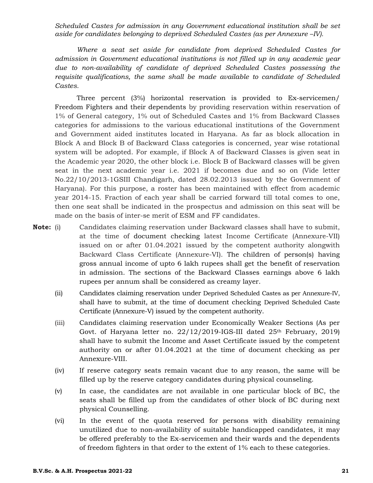*Scheduled Castes for admission in any Government educational institution shall be set aside for candidates belonging to deprived Scheduled Castes (as per Annexure –IV).* 

*Where a seat set aside for candidate from deprived Scheduled Castes for admission in Government educational institutions is not filled up in any academic year due to non-availability of candidate of deprived Scheduled Castes possessing the requisite qualifications, the same shall be made available to candidate of Scheduled Castes.* 

Three percent (3%) horizontal reservation is provided to Ex-servicemen/ Freedom Fighters and their dependents by providing reservation within reservation of 1% of General category, 1% out of Scheduled Castes and 1% from Backward Classes categories for admissions to the various educational institutions of the Government and Government aided institutes located in Haryana. As far as block allocation in Block A and Block B of Backward Class categories is concerned, year wise rotational system will be adopted. For example, if Block A of Backward Classes is given seat in the Academic year 2020, the other block i.e. Block B of Backward classes will be given seat in the next academic year i.e. 2021 if becomes due and so on (Vide letter No.22/10/2013-1GSIII Chandigarh, dated 28.02.2013 issued by the Government of Haryana). For this purpose, a roster has been maintained with effect from academic year 2014-15. Fraction of each year shall be carried forward till total comes to one, then one seat shall be indicated in the prospectus and admission on this seat will be made on the basis of inter-se merit of ESM and FF candidates.

- **Note:** (i) Candidates claiming reservation under Backward classes shall have to submit, at the time of document checking latest Income Certificate (Annexure-VII) issued on or after 01.04.2021 issued by the competent authority alongwith Backward Class Certificate (Annexure-VI). The children of person(s) having gross annual income of upto 6 lakh rupees shall get the benefit of reservation in admission. The sections of the Backward Classes earnings above 6 lakh rupees per annum shall be considered as creamy layer.
	- (ii) Candidates claiming reservation under Deprived Scheduled Castes as per Annexure-IV, shall have to submit, at the time of document checking Deprived Scheduled Caste Certificate (Annexure-V) issued by the competent authority.
	- (iii) Candidates claiming reservation under Economically Weaker Sections (As per Govt. of Haryana letter no. 22/12/2019-IGS-III dated 25<sup>th</sup> February, 2019) shall have to submit the Income and Asset Certificate issued by the competent authority on or after 01.04.2021 at the time of document checking as per Annexure-VIII.
	- (iv) If reserve category seats remain vacant due to any reason, the same will be filled up by the reserve category candidates during physical counseling.
	- (v) In case, the candidates are not available in one particular block of BC, the seats shall be filled up from the candidates of other block of BC during next physical Counselling.
	- (vi) In the event of the quota reserved for persons with disability remaining unutilized due to non-availability of suitable handicapped candidates, it may be offered preferably to the Ex-servicemen and their wards and the dependents of freedom fighters in that order to the extent of 1% each to these categories.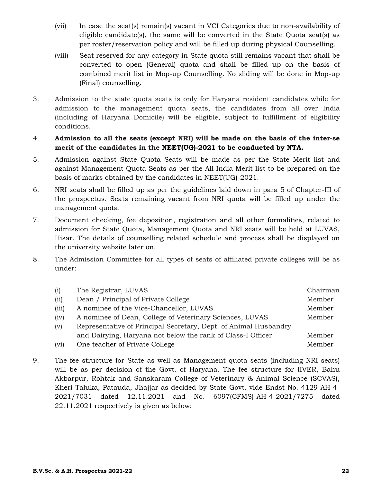- (vii) In case the seat(s) remain(s) vacant in VCI Categories due to non-availability of eligible candidate(s), the same will be converted in the State Quota seat(s) as per roster/reservation policy and will be filled up during physical Counselling.
- (viii) Seat reserved for any category in State quota still remains vacant that shall be converted to open (General) quota and shall be filled up on the basis of combined merit list in Mop-up Counselling. No sliding will be done in Mop-up (Final) counselling.
- 3. Admission to the state quota seats is only for Haryana resident candidates while for admission to the management quota seats, the candidates from all over India (including of Haryana Domicile) will be eligible, subject to fulfillment of eligibility conditions.

## 4. **Admission to all the seats (except NRI) will be made on the basis of the inter-se merit of the candidates in the NEET(UG)-2021 to be conducted by NTA.**

- 5. Admission against State Quota Seats will be made as per the State Merit list and against Management Quota Seats as per the All India Merit list to be prepared on the basis of marks obtained by the candidates in NEET(UG)-2021.
- 6. NRI seats shall be filled up as per the guidelines laid down in para 5 of Chapter-III of the prospectus. Seats remaining vacant from NRI quota will be filled up under the management quota.
- 7. Document checking, fee deposition, registration and all other formalities, related to admission for State Quota, Management Quota and NRI seats will be held at LUVAS, Hisar. The details of counselling related schedule and process shall be displayed on the university website later on.
- 8. The Admission Committee for all types of seats of affiliated private colleges will be as under:

| (i)   | The Registrar, LUVAS                                             | Chairman |
|-------|------------------------------------------------------------------|----------|
| (ii)  | Dean / Principal of Private College                              | Member   |
| (iii) | A nominee of the Vice-Chancellor, LUVAS                          | Member   |
| (iv)  | A nominee of Dean, College of Veterinary Sciences, LUVAS         | Member   |
| (v)   | Representative of Principal Secretary, Dept. of Animal Husbandry |          |
|       | and Dairying, Haryana not below the rank of Class-I Officer      | Member   |
| (vi)  | One teacher of Private College                                   | Member   |

9. The fee structure for State as well as Management quota seats (including NRI seats) will be as per decision of the Govt. of Haryana. The fee structure for IIVER, Bahu Akbarpur, Rohtak and Sanskaram College of Veterinary & Animal Science (SCVAS), Kheri Taluka, Patauda, Jhajjar as decided by State Govt. vide Endst No. 4129-AH-4- 2021/7031 dated 12.11.2021 and No. 6097(CFMS)-AH-4-2021/7275 dated 22.11.2021 respectively is given as below: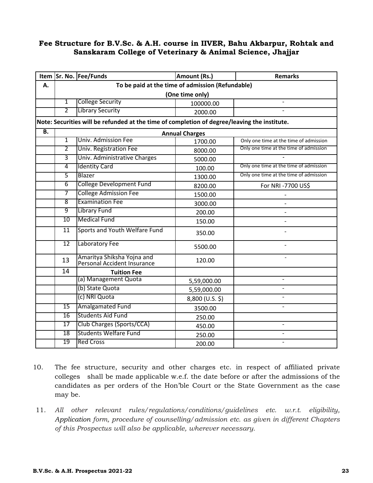## **Fee Structure for B.V.Sc. & A.H. course in IIVER, Bahu Akbarpur, Rohtak and Sanskaram College of Veterinary & Animal Science, Jhajjar**

|                  |                                                  | Item Sr. No. Fee/Funds                                                                       | Amount (Rs.)          | <b>Remarks</b>                         |
|------------------|--------------------------------------------------|----------------------------------------------------------------------------------------------|-----------------------|----------------------------------------|
| А.               | To be paid at the time of admission (Refundable) |                                                                                              |                       |                                        |
|                  |                                                  |                                                                                              | (One time only)       |                                        |
|                  | $\overline{1}$                                   | <b>College Security</b>                                                                      | 100000.00             | $\overline{a}$                         |
|                  | $\overline{2}$                                   | <b>Library Security</b>                                                                      | 2000.00               |                                        |
|                  |                                                  | Note: Securities will be refunded at the time of completion of degree/leaving the institute. |                       |                                        |
| $\overline{B}$ . |                                                  |                                                                                              | <b>Annual Charges</b> |                                        |
|                  | $\overline{1}$                                   | <b>Univ. Admission Fee</b>                                                                   | 1700.00               | Only one time at the time of admission |
|                  | $\overline{2}$                                   | Univ. Registration Fee                                                                       | 8000.00               | Only one time at the time of admission |
|                  | $\overline{3}$                                   | Univ. Administrative Charges                                                                 | 5000.00               |                                        |
|                  | 4                                                | <b>Identity Card</b>                                                                         | 100.00                | Only one time at the time of admission |
|                  | $\overline{5}$                                   | Blazer                                                                                       | 1300.00               | Only one time at the time of admission |
|                  | $\overline{6}$                                   | <b>College Development Fund</b>                                                              | 8200.00               | For NRI -7700 US\$                     |
|                  | $\overline{7}$                                   | <b>College Admission Fee</b>                                                                 | 1500.00               |                                        |
|                  | $\overline{8}$                                   | <b>Examination Fee</b>                                                                       | 3000.00               |                                        |
|                  | 9                                                | <b>Library Fund</b>                                                                          | 200.00                |                                        |
|                  | 10                                               | <b>Medical Fund</b>                                                                          | 150.00                | $\overline{a}$                         |
|                  | 11                                               | Sports and Youth Welfare Fund                                                                | 350.00                |                                        |
|                  | $\overline{12}$                                  | Laboratory Fee                                                                               | 5500.00               |                                        |
|                  | 13                                               | Amaritya Shiksha Yojna and<br>Personal Accident Insurance                                    | 120.00                |                                        |
|                  | 14                                               | <b>Tuition Fee</b>                                                                           |                       |                                        |
|                  |                                                  | (a) Management Quota                                                                         | 5,59,000.00           | $\overline{\phantom{a}}$               |
|                  |                                                  | (b) State Quota                                                                              | 5,59,000.00           | $\overline{a}$                         |
|                  |                                                  | (c) NRI Quota                                                                                | 8,800 (U.S. \$)       |                                        |
|                  | 15                                               | Amalgamated Fund                                                                             | 3500.00               | $\overline{\phantom{0}}$               |
|                  | 16                                               | Students Aid Fund                                                                            | 250.00                |                                        |
|                  | 17                                               | Club Charges (Sports/CCA)                                                                    | 450.00                | $\overline{a}$                         |
|                  | 18                                               | <b>Students Welfare Fund</b>                                                                 | 250.00                | $\overline{\phantom{0}}$               |
|                  | 19                                               | <b>Red Cross</b>                                                                             | 200.00                |                                        |

- 10. The fee structure, security and other charges etc. in respect of affiliated private colleges shall be made applicable w.e.f. the date before or after the admissions of the candidates as per orders of the Hon'ble Court or the State Government as the case may be.
- 11*. All other relevant rules/regulations/conditions/guidelines etc. w.r.t. eligibility, Application form, procedure of counselling/admission etc. as given in different Chapters of this Prospectus will also be applicable, wherever necessary.*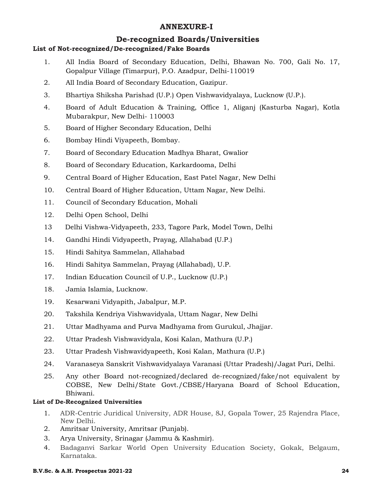## **ANNEXURE-I**

## **De-recognized Boards/Universities**

## **List of Not-recognized/De-recognized/Fake Boards**

- 1. All India Board of Secondary Education, Delhi, Bhawan No. 700, Gali No. 17, Gopalpur Village (Timarpur), P.O. Azadpur, Delhi-110019
- 2. All India Board of Secondary Education, Gazipur.
- 3. Bhartiya Shiksha Parishad (U.P.) Open Vishwavidyalaya, Lucknow (U.P.).
- 4. Board of Adult Education & Training, Office 1, Aliganj (Kasturba Nagar), Kotla Mubarakpur, New Delhi- 110003
- 5. Board of Higher Secondary Education, Delhi
- 6. Bombay Hindi Viyapeeth, Bombay.
- 7. Board of Secondary Education Madhya Bharat, Gwalior
- 8. Board of Secondary Education, Karkardooma, Delhi
- 9. Central Board of Higher Education, East Patel Nagar, New Delhi
- 10. Central Board of Higher Education, Uttam Nagar, New Delhi.
- 11. Council of Secondary Education, Mohali
- 12. Delhi Open School, Delhi
- 13 Delhi Vishwa-Vidyapeeth, 233, Tagore Park, Model Town, Delhi
- 14. Gandhi Hindi Vidyapeeth, Prayag, Allahabad (U.P.)
- 15. Hindi Sahitya Sammelan, Allahabad
- 16. Hindi Sahitya Sammelan, Prayag (Allahabad), U.P.
- 17. Indian Education Council of U.P., Lucknow (U.P.)
- 18. Jamia Islamia, Lucknow.
- 19. Kesarwani Vidyapith, Jabalpur, M.P.
- 20. Takshila Kendriya Vishwavidyala, Uttam Nagar, New Delhi
- 21. Uttar Madhyama and Purva Madhyama from Gurukul, Jhajjar.
- 22. Uttar Pradesh Vishwavidyala, Kosi Kalan, Mathura (U.P.)
- 23. Uttar Pradesh Vishwavidyapeeth, Kosi Kalan, Mathura (U.P.)
- 24. Varanaseya Sanskrit Vishwavidyalaya Varanasi (Uttar Pradesh)/Jagat Puri, Delhi.
- 25. Any other Board not-recognized/declared de-recognized/fake/not equivalent by COBSE, New Delhi/State Govt./CBSE/Haryana Board of School Education, Bhiwani.

## **List of De-Recognized Universities**

- 1. ADR-Centric Juridical University, ADR House, 8J, Gopala Tower, 25 Rajendra Place, New Delhi.
- 2. Amritsar University, Amritsar (Punjab).
- 3. Arya University, Srinagar (Jammu & Kashmir).
- 4. Badaganvi Sarkar World Open University Education Society, Gokak, Belgaum, Karnataka.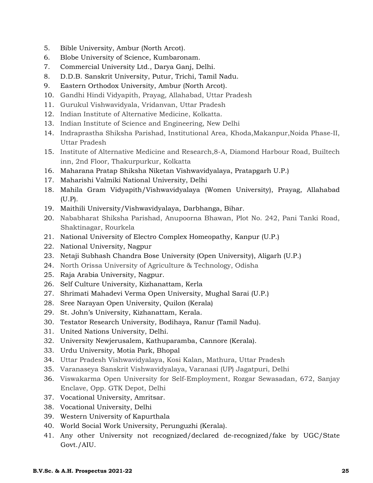- 5. Bible University, Ambur (North Arcot).
- 6. Blobe University of Science, Kumbaronam.
- 7. Commercial University Ltd., Darya Ganj, Delhi.
- 8. D.D.B. Sanskrit University, Putur, Trichi, Tamil Nadu.
- 9. Eastern Orthodox University, Ambur (North Arcot).
- 10. Gandhi Hindi Vidyapith, Prayag, Allahabad, Uttar Pradesh
- 11. Gurukul Vishwavidyala, Vridanvan, Uttar Pradesh
- 12. Indian Institute of Alternative Medicine, Kolkatta.
- 13. Indian Institute of Science and Engineering, New Delhi
- 14. Indraprastha Shiksha Parishad, Institutional Area, Khoda,Makanpur,Noida Phase-II, Uttar Pradesh
- 15. Institute of Alternative Medicine and Research,8-A, Diamond Harbour Road, Builtech inn, 2nd Floor, Thakurpurkur, Kolkatta
- 16. Maharana Pratap Shiksha Niketan Vishwavidyalaya, Pratapgarh U.P.)
- 17. Maharishi Valmiki National University, Delhi
- 18. Mahila Gram Vidyapith/Vishwavidyalaya (Women University), Prayag, Allahabad (U.P).
- 19. Maithili University/Vishwavidyalaya, Darbhanga, Bihar.
- 20. Nababharat Shiksha Parishad, Anupoorna Bhawan, Plot No. 242, Pani Tanki Road, Shaktinagar, Rourkela
- 21. National University of Electro Complex Homeopathy, Kanpur (U.P.)
- 22. National University, Nagpur
- 23. Netaji Subhash Chandra Bose University (Open University), Aligarh (U.P.)
- 24. North Orissa University of Agriculture & Technology, Odisha
- 25. Raja Arabia University, Nagpur.
- 26. Self Culture University, Kizhanattam, Kerla
- 27. Shrimati Mahadevi Verma Open University, Mughal Sarai (U.P.)
- 28. Sree Narayan Open University, Quilon (Kerala)
- 29. St. John's University, Kizhanattam, Kerala.
- 30. Testator Research University, Bodihaya, Ranur (Tamil Nadu).
- 31. United Nations University, Delhi.
- 32. University Newjerusalem, Kathuparamba, Cannore (Kerala).
- 33. Urdu University, Motia Park, Bhopal
- 34. Uttar Pradesh Vishwavidyalaya, Kosi Kalan, Mathura, Uttar Pradesh
- 35. Varanaseya Sanskrit Vishwavidyalaya, Varanasi (UP) Jagatpuri, Delhi
- 36. Viswakarma Open University for Self-Employment, Rozgar Sewasadan, 672, Sanjay Enclave, Opp. GTK Depot, Delhi
- 37. Vocational University, Amritsar.
- 38. Vocational University, Delhi
- 39. Western University of Kapurthala
- 40. World Social Work University, Perunguzhi (Kerala).
- 41. Any other University not recognized/declared de-recognized/fake by UGC/State Govt./AIU.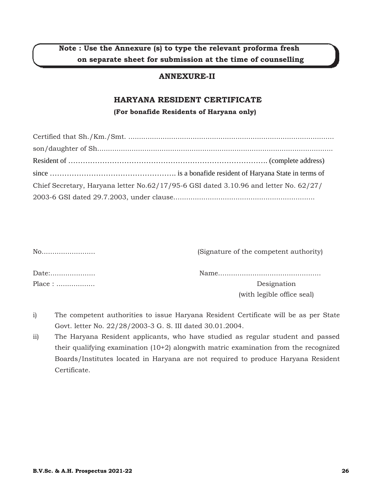## **Note : Use the Annexure (s) to type the relevant proforma fresh on separate sheet for submission at the time of counselling**

## **ANNEXURE-II**

## **HARYANA RESIDENT CERTIFICATE**

**(For bonafide Residents of Haryana only)**

| Chief Secretary, Haryana letter $No.62/17/95-6$ GSI dated 3.10.96 and letter No. 62/27/ |  |
|-----------------------------------------------------------------------------------------|--|
|                                                                                         |  |

| No    | (Signature of the competent authority) |
|-------|----------------------------------------|
| Date: |                                        |
|       | Designation                            |
|       | (with legible office seal)             |

- i) The competent authorities to issue Haryana Resident Certificate will be as per State Govt. letter No. 22/28/2003-3 G. S. III dated 30.01.2004.
- ii) The Haryana Resident applicants, who have studied as regular student and passed their qualifying examination (10+2) alongwith matric examination from the recognized Boards/Institutes located in Haryana are not required to produce Haryana Resident Certificate.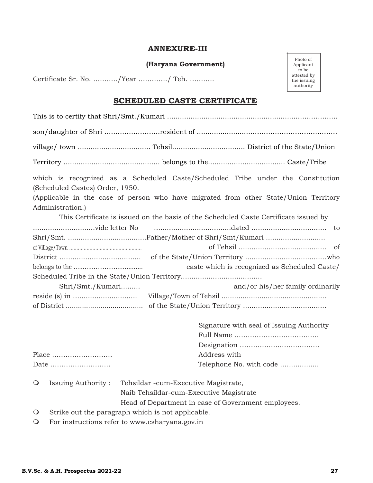## **ANNEXURE-III**

**(Haryana Government)**

Certificate Sr. No. ………../Year …………./ Teh. ………..

#### Photo of Applicant to be attested by the issuing authority

## **SCHEDULED CASTE CERTIFICATE**

|         | (Scheduled Castes) Order, 1950.                                                      |  |                                                     |                                          | which is recognized as a Scheduled Caste/Scheduled Tribe under the Constitution      |
|---------|--------------------------------------------------------------------------------------|--|-----------------------------------------------------|------------------------------------------|--------------------------------------------------------------------------------------|
|         |                                                                                      |  |                                                     |                                          | (Applicable in the case of person who have migrated from other State/Union Territory |
|         | Administration.)                                                                     |  |                                                     |                                          |                                                                                      |
|         | This Certificate is issued on the basis of the Scheduled Caste Certificate issued by |  |                                                     |                                          |                                                                                      |
|         |                                                                                      |  |                                                     |                                          |                                                                                      |
|         |                                                                                      |  |                                                     |                                          |                                                                                      |
|         |                                                                                      |  |                                                     |                                          | <sub>of</sub>                                                                        |
|         |                                                                                      |  |                                                     |                                          |                                                                                      |
|         |                                                                                      |  |                                                     |                                          | caste which is recognized as Scheduled Caste/                                        |
|         |                                                                                      |  |                                                     |                                          |                                                                                      |
|         | Shri/Smt./Kumari                                                                     |  |                                                     |                                          | and/or his/her family ordinarily                                                     |
|         |                                                                                      |  |                                                     |                                          |                                                                                      |
|         |                                                                                      |  |                                                     |                                          |                                                                                      |
|         |                                                                                      |  |                                                     | Signature with seal of Issuing Authority |                                                                                      |
|         |                                                                                      |  |                                                     |                                          |                                                                                      |
|         |                                                                                      |  |                                                     |                                          |                                                                                      |
|         | Place                                                                                |  | Address with                                        |                                          |                                                                                      |
|         | Date                                                                                 |  |                                                     | Telephone No. with code                  |                                                                                      |
| $\circ$ | <b>Issuing Authority:</b>                                                            |  | Tehsildar -cum-Executive Magistrate,                |                                          |                                                                                      |
|         |                                                                                      |  | Naib Tehsildar-cum-Executive Magistrate             |                                          |                                                                                      |
|         |                                                                                      |  | Head of Department in case of Government employees. |                                          |                                                                                      |
| $\circ$ | Strike out the paragraph which is not applicable.                                    |  |                                                     |                                          |                                                                                      |

For instructions refer to www.csharyana.gov.in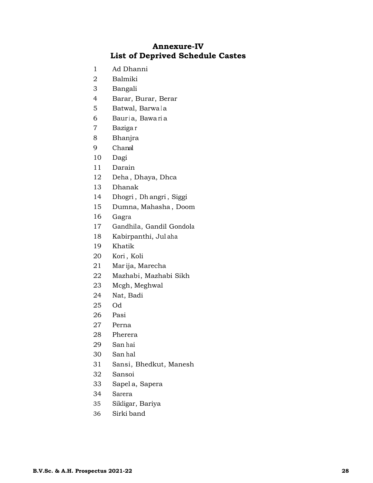## **Annexure-IV List of Deprived Schedule Castes**

- Ad Dhanni
- Balmiki
- Bangali
- Barar, Burar, Berar
- 5 Batwal, Barwala
- 6 Bauria, Bawaria
- Baziga r
- Bhanjra
- Chanal
- Dagi
- Darain
- Deha , Dhaya, Dhca
- Dhanak
- Dhogri , Dh angri , Siggi
- Dumna, Mahasha , Doom
- Gagra
- Gandhila, Gandil Gondola
- Kabirpanthi, Jul aha
- Khatik
- Kori , Koli
- Mar ija, Marecha
- 22 Mazhabi, Mazhabi Sikh
- Mcgh, Meghwal
- Nat, Badi
- Od
- Pasi
- Perna
- Pherera
- San hai
- San hal
- Sansi, Bhedkut, Manesh
- Sansoi
- Sapel a, Sapera
- Sarera
- Sikligar, Bariya
- Sirki band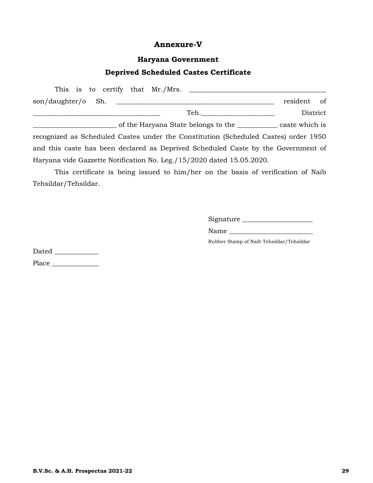## **Annexure-V**

## **Haryana Government**

## **Deprived Scheduled Castes Certificate**

| This is to certify that Mr./Mrs.                                                    |                |               |  |
|-------------------------------------------------------------------------------------|----------------|---------------|--|
| son/daughter/o Sh.                                                                  | resident       | <sub>of</sub> |  |
| Teh.                                                                                | District       |               |  |
| of the Haryana State belongs to the                                                 | caste which is |               |  |
| recognized as Scheduled Castes under the Constitution (Scheduled Castes) order 1950 |                |               |  |
| and this caste has been declared as Deprived Scheduled Caste by the Government of   |                |               |  |
| Haryana vide Gazzette Notification No. Leg./15/2020 dated 15.05.2020.               |                |               |  |

 This certificate is being issued to him/her on the basis of verification of Naib Tehsildar/Tehsildar.

Signature \_\_\_\_\_\_\_\_\_\_\_\_\_\_\_\_\_\_\_\_\_

Name \_\_\_\_\_\_\_\_\_\_\_\_\_\_\_\_\_\_\_\_\_\_\_\_\_

Rubber Stamp of Naib Tehsildar/Tehsildar

Dated \_\_\_\_\_\_\_\_\_\_\_\_\_ Place \_\_\_\_\_\_\_\_\_\_\_\_\_\_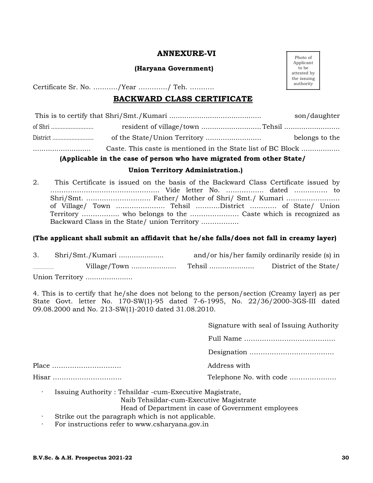## **ANNEXURE-VI**

#### **(Haryana Government)**

Certificate Sr. No. ………../Year …………./ Teh. ………..

## **BACKWARD CLASS CERTIFICATE**

|                                                              | son/daughter   |
|--------------------------------------------------------------|----------------|
|                                                              |                |
|                                                              | belongs to the |
| Caste. This caste is mentioned in the State list of BC Block |                |

## **(Applicable in the case of person who have migrated from other State/**

## **Union Territory Administration.)**

2. This Certificate is issued on the basis of the Backward Class Certificate issued by …………………………………………. Vide letter No. …………….. dated …………… to Shri/Smt. ……………………….. Father/ Mother of Shri/ Smt./ Kumari …………………… of Village/ Town …………………. Tehsil ………..District ………… of State/ Union Territory …………….. who belongs to the …………………. Caste which is recognized as Backward Class in the State/ union Territory ……………..

## **(The applicant shall submit an affidavit that he/she falls/does not fall in creamy layer)**

| Shri/Smt./Kumari | and/or his/her family ordinarily reside (s) in |                        |
|------------------|------------------------------------------------|------------------------|
|                  | Tehsil                                         | District of the State/ |

Union Territory ......................

4. This is to certify that he/she does not belong to the person/section (Creamy layer) as per State Govt. letter No. 170-SW(1)-95 dated 7-6-1995, No. 22/36/2000-3GS-III dated 09.08.2000 and No. 213-SW(1)-2010 dated 31.08.2010.

Signature with seal of Issuing Authority

Full Name …………………………………..

Designation …………………………….….

Place …………………………. Address with

Hisar …………………………. Telephone No. with code …………………

Issuing Authority : Tehsildar -cum-Executive Magistrate,

Naib Tehsildar-cum-Executive Magistrate

Head of Department in case of Government employees

- · Strike out the paragraph which is not applicable.
- For instructions refer to www.csharyana.gov.in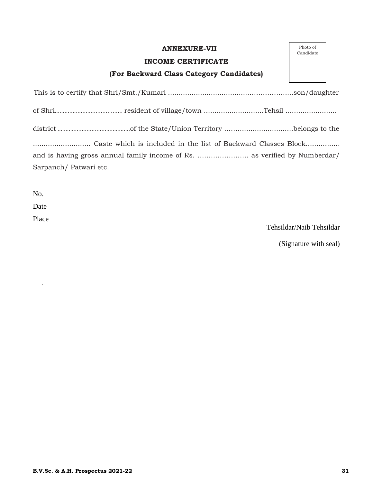## **ANNEXURE-VII**

## **INCOME CERTIFICATE**

## **(For Backward Class Category Candidates)**

| Photo of  |
|-----------|
| Candidate |

| Sarpanch/Patwari etc. |  |  |  |
|-----------------------|--|--|--|

No.

Date

Place

·

Tehsildar/Naib Tehsildar

(Signature with seal)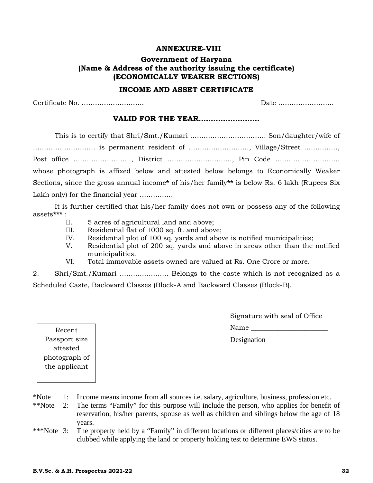## **ANNEXURE-VIII**

## **Government of Haryana (Name & Address of the authority issuing the certificate) (ECONOMICALLY WEAKER SECTIONS)**

#### **INCOME AND ASSET CERTIFICATE**

Certificate No. ………………………. Date …………………….

## **VALID FOR THE YEAR…………………….**

 This is to certify that Shri/Smt./Kumari ……………………………. Son/daughter/wife of ………………………. is permanent resident of ………………………, Village/Street ……………, Post office …………………….., District ……………………….., Pin Code ……………………….. whose photograph is affixed below and attested below belongs to Economically Weaker Sections, since the gross annual income**\*** of his/her family**\*\*** is below Rs. 6 lakh (Rupees Six Lakh only) for the financial year ...............

 It is further certified that his/her family does not own or possess any of the following assets**\*\*\*** :

- II. 5 acres of agricultural land and above;
- III. Residential flat of 1000 sq. ft. and above;
- IV. Residential plot of 100 sq. yards and above is notified municipalities;
- V. Residential plot of 200 sq. yards and above in areas other than the notified municipalities.
- VI. Total immovable assets owned are valued at Rs. One Crore or more.
- 2. Shri/Smt./Kumari …………………. Belongs to the caste which is not recognized as a

Scheduled Caste, Backward Classes (Block-A and Backward Classes (Block-B).

Signature with seal of Office Name

Designation

Recent Passport size attested photograph of the applicant

\*Note 1: Income means income from all sources i.e. salary, agriculture, business, profession etc.

- \*\*Note 2: The terms "Family" for this purpose will include the person, who applies for benefit of reservation, his/her parents, spouse as well as children and siblings below the age of 18 years.
- \*\*\*Note 3: The property held by a "Family" in different locations or different places/cities are to be clubbed while applying the land or property holding test to determine EWS status.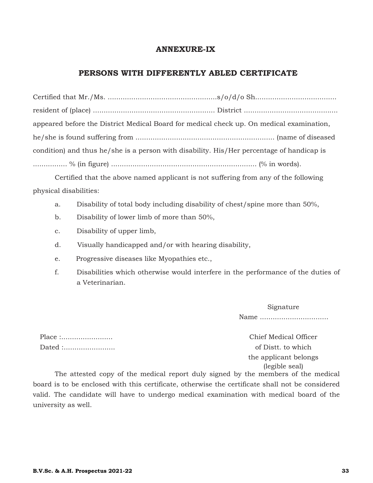## **ANNEXURE-IX**

## **PERSONS WITH DIFFERENTLY ABLED CERTIFICATE**

|                                                                                           | appeared before the District Medical Board for medical check up. On medical examination, |
|-------------------------------------------------------------------------------------------|------------------------------------------------------------------------------------------|
|                                                                                           |                                                                                          |
| condition) and thus he/she is a person with disability. His/Her percentage of handicap is |                                                                                          |
|                                                                                           |                                                                                          |

Certified that the above named applicant is not suffering from any of the following physical disabilities:

- a. Disability of total body including disability of chest/spine more than 50%,
- b. Disability of lower limb of more than 50%,
- c. Disability of upper limb,
- d. Visually handicapped and/or with hearing disability,
- e. Progressive diseases like Myopathies etc.,
- f. Disabilities which otherwise would interfere in the performance of the duties of a Veterinarian.

Signature Name ................................

Place :........................ Chief Medical Officer Dated :........................ of Distt. to which

the applicant belongs (legible seal)

The attested copy of the medical report duly signed by the members of the medical board is to be enclosed with this certificate, otherwise the certificate shall not be considered valid. The candidate will have to undergo medical examination with medical board of the university as well.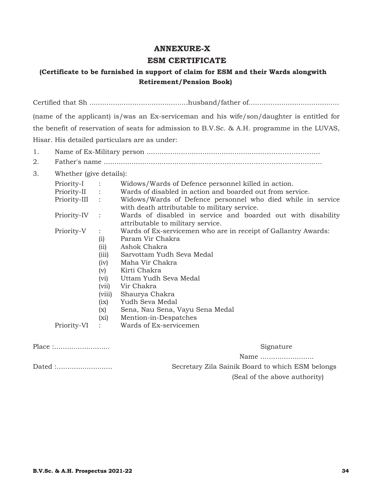## **ANNEXURE-X**

## **ESM CERTIFICATE**

## **(Certificate to be furnished in support of claim for ESM and their Wards alongwith Retirement/Pension Book)**

Certified that Sh ..............................................husband/father of......…….............................. (name of the applicant) is/was an Ex-serviceman and his wife/son/daughter is entitled for the benefit of reservation of seats for admission to B.V.Sc. & A.H. programme in the LUVAS, Hisar. His detailed particulars are as under:

- 1. Name of Ex-Military person ......................................................……………………..
- 2. Father's name ...............................................………………………………………........
- 3. Whether (give details):

| Priority-I     | $\sim$ $\sim$ $\sim$        | Widows/Wards of Defence personnel killed in action.                                                         |
|----------------|-----------------------------|-------------------------------------------------------------------------------------------------------------|
| Priority-II :  |                             | Wards of disabled in action and boarded out from service.                                                   |
| Priority-III : |                             | Widows/Wards of Defence personnel who died while in service<br>with death attributable to military service. |
| Priority-IV    | $\dddot{\phantom{1}}$       | Wards of disabled in service and boarded out with disability<br>attributable to military service.           |
| Priority-V     | $\ddot{\phantom{a}}$        | Wards of Ex-servicemen who are in receipt of Gallantry Awards:                                              |
|                | (i)                         | Param Vir Chakra                                                                                            |
|                | (ii)                        | Ashok Chakra                                                                                                |
|                | (iii)                       | Sarvottam Yudh Seva Medal                                                                                   |
|                | (iv)                        | Maha Vir Chakra                                                                                             |
|                | (v)                         | Kirti Chakra                                                                                                |
|                | (vi)                        | Uttam Yudh Seva Medal                                                                                       |
|                | (vii)                       | Vir Chakra                                                                                                  |
|                | (viii)                      | Shaurya Chakra                                                                                              |
|                | (ix)                        | Yudh Seva Medal                                                                                             |
|                | (x)                         | Sena, Nau Sena, Vayu Sena Medal                                                                             |
|                | $(x_i)$                     | Mention-in-Despatches                                                                                       |
| Priority-VI    | $\mathcal{L} = \mathcal{L}$ | Wards of Ex-servicemen                                                                                      |
| Place :        |                             | Signature                                                                                                   |
|                |                             |                                                                                                             |

Name ............................

Dated :.......................... Secretary Zila Sainik Board to which ESM belongs (Seal of the above authority)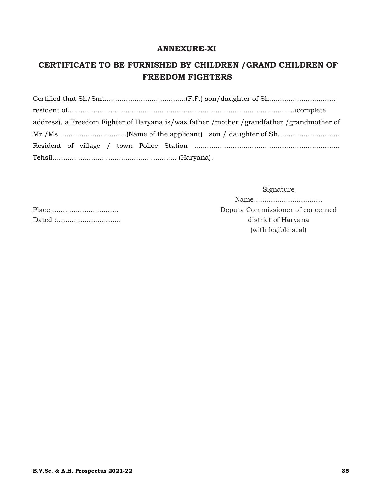## **ANNEXURE-XI**

## **CERTIFICATE TO BE FURNISHED BY CHILDREN /GRAND CHILDREN OF FREEDOM FIGHTERS**

| address), a Freedom Fighter of Haryana is/was father /mother /grandfather /grandmother of |
|-------------------------------------------------------------------------------------------|
|                                                                                           |
|                                                                                           |
|                                                                                           |

Signature

Name ............................... Place :.............................. Deputy Commissioner of concerned Dated :.............................. district of Haryana (with legible seal)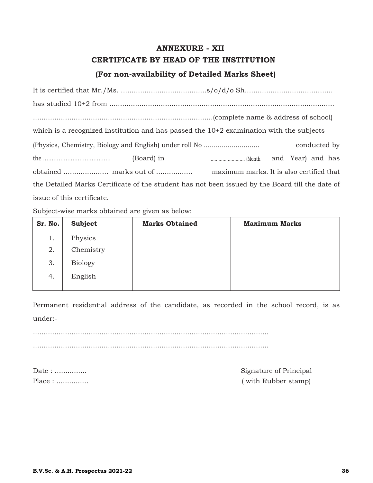## **ANNEXURE - XII CERTIFICATE BY HEAD OF THE INSTITUTION (For non-availability of Detailed Marks Sheet)**

| which is a recognized institution and has passed the $10+2$ examination with the subjects       |  |  |              |
|-------------------------------------------------------------------------------------------------|--|--|--------------|
|                                                                                                 |  |  | conducted by |
|                                                                                                 |  |  |              |
|                                                                                                 |  |  |              |
| the Detailed Marks Certificate of the student has not been issued by the Board till the date of |  |  |              |
| issue of this certificate.                                                                      |  |  |              |

Subject-wise marks obtained are given as below:

| Sr. No. | Subject        | <b>Marks Obtained</b> | <b>Maximum Marks</b> |
|---------|----------------|-----------------------|----------------------|
| 1.      | Physics        |                       |                      |
| 2.      | Chemistry      |                       |                      |
| 3.      | <b>Biology</b> |                       |                      |
| 4.      | English        |                       |                      |
|         |                |                       |                      |

Permanent residential address of the candidate, as recorded in the school record, is as under:-

.............................................................................................................. ..............................................................................................................

Date : ............... Signature of Principal Place : ............... ( with Rubber stamp)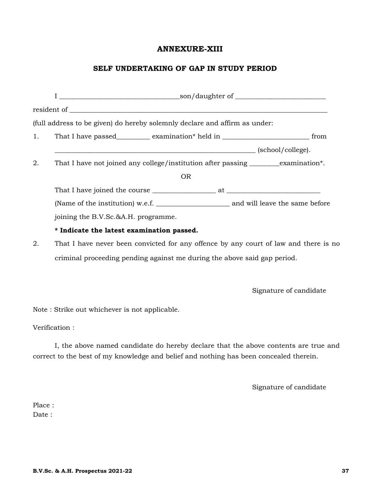## **ANNEXURE-XIII**

## **SELF UNDERTAKING OF GAP IN STUDY PERIOD**

|    | (full address to be given) do hereby solemnly declare and affirm as under:             |  |
|----|----------------------------------------------------------------------------------------|--|
| 1. | That I have passed___________ examination* held in ______________________________ from |  |
|    | $\qquad \qquad \text{(school/college)}.$                                               |  |
| 2. | That I have not joined any college/institution after passing __________examination*.   |  |
|    | OR.                                                                                    |  |
|    |                                                                                        |  |
|    |                                                                                        |  |
|    | joining the B.V.Sc.&A.H. programme.                                                    |  |
|    | * Indicate the latest examination passed.                                              |  |
| ∩  | That I have nover been convicted for eny offence by eny count of low and there is      |  |

2. That I have never been convicted for any offence by any court of law and there is no criminal proceeding pending against me during the above said gap period.

Signature of candidate

Note : Strike out whichever is not applicable.

Verification :

I, the above named candidate do hereby declare that the above contents are true and correct to the best of my knowledge and belief and nothing has been concealed therein.

Signature of candidate

Place : Date :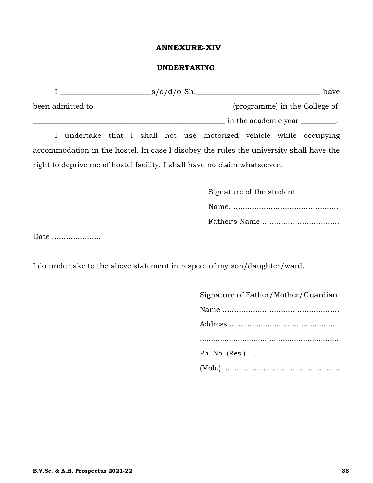## **ANNEXURE-XIV**

## **UNDERTAKING**

|                               |                                                                                        |  |  |  |  |  | $\sim$ s/o/d/o Sh. |  |  | have                            |
|-------------------------------|----------------------------------------------------------------------------------------|--|--|--|--|--|--------------------|--|--|---------------------------------|
| (programme) in the College of |                                                                                        |  |  |  |  |  |                    |  |  |                                 |
|                               |                                                                                        |  |  |  |  |  |                    |  |  | in the academic year _________. |
|                               | I undertake that I shall not use motorized vehicle while occupying                     |  |  |  |  |  |                    |  |  |                                 |
|                               | accommodation in the hostel. In case I disobey the rules the university shall have the |  |  |  |  |  |                    |  |  |                                 |
|                               | right to deprive me of hostel facility. I shall have no claim whatsoever.              |  |  |  |  |  |                    |  |  |                                 |

| Signature of the student |
|--------------------------|
|                          |
| Father's Name            |

Date .....................

I do undertake to the above statement in respect of my son/daughter/ward.

| Signature of Father/Mother/Guardian |
|-------------------------------------|
|                                     |
|                                     |
|                                     |
|                                     |
|                                     |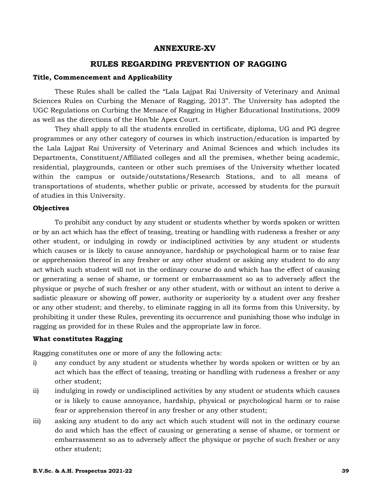## **ANNEXURE-XV**

## **RULES REGARDING PREVENTION OF RAGGING**

#### **Title, Commencement and Applicability**

These Rules shall be called the "Lala Lajpat Rai University of Veterinary and Animal Sciences Rules on Curbing the Menace of Ragging, 2013". The University has adopted the UGC Regulations on Curbing the Menace of Ragging in Higher Educational Institutions, 2009 as well as the directions of the Hon'ble Apex Court.

They shall apply to all the students enrolled in certificate, diploma, UG and PG degree programmes or any other category of courses in which instruction/education is imparted by the Lala Lajpat Rai University of Veterinary and Animal Sciences and which includes its Departments, Constituent/Affiliated colleges and all the premises, whether being academic, residential, playgrounds, canteen or other such premises of the University whether located within the campus or outside/outstations/Research Stations, and to all means of transportations of students, whether public or private, accessed by students for the pursuit of studies in this University.

#### **Objectives**

To prohibit any conduct by any student or students whether by words spoken or written or by an act which has the effect of teasing, treating or handling with rudeness a fresher or any other student, or indulging in rowdy or indisciplined activities by any student or students which causes or is likely to cause annoyance, hardship or psychological harm or to raise fear or apprehension thereof in any fresher or any other student or asking any student to do any act which such student will not in the ordinary course do and which has the effect of causing or generating a sense of shame, or torment or embarrassment so as to adversely affect the physique or psyche of such fresher or any other student, with or without an intent to derive a sadistic pleasure or showing off power, authority or superiority by a student over any fresher or any other student; and thereby, to eliminate ragging in all its forms from this University, by prohibiting it under these Rules, preventing its occurrence and punishing those who indulge in ragging as provided for in these Rules and the appropriate law in force.

## **What constitutes Ragging**

Ragging constitutes one or more of any the following acts:

- i) any conduct by any student or students whether by words spoken or written or by an act which has the effect of teasing, treating or handling with rudeness a fresher or any other student;
- ii) indulging in rowdy or undisciplined activities by any student or students which causes or is likely to cause annoyance, hardship, physical or psychological harm or to raise fear or apprehension thereof in any fresher or any other student;
- iii) asking any student to do any act which such student will not in the ordinary course do and which has the effect of causing or generating a sense of shame, or torment or embarrassment so as to adversely affect the physique or psyche of such fresher or any other student;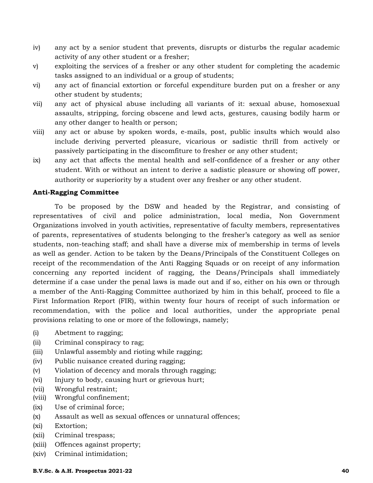- iv) any act by a senior student that prevents, disrupts or disturbs the regular academic activity of any other student or a fresher;
- v) exploiting the services of a fresher or any other student for completing the academic tasks assigned to an individual or a group of students;
- vi) any act of financial extortion or forceful expenditure burden put on a fresher or any other student by students;
- vii) any act of physical abuse including all variants of it: sexual abuse, homosexual assaults, stripping, forcing obscene and lewd acts, gestures, causing bodily harm or any other danger to health or person;
- viii) any act or abuse by spoken words, e-mails, post, public insults which would also include deriving perverted pleasure, vicarious or sadistic thrill from actively or passively participating in the discomfiture to fresher or any other student;
- ix) any act that affects the mental health and self-confidence of a fresher or any other student. With or without an intent to derive a sadistic pleasure or showing off power, authority or superiority by a student over any fresher or any other student.

## **Anti-Ragging Committee**

To be proposed by the DSW and headed by the Registrar, and consisting of representatives of civil and police administration, local media, Non Government Organizations involved in youth activities, representative of faculty members, representatives of parents, representatives of students belonging to the fresher's category as well as senior students, non-teaching staff; and shall have a diverse mix of membership in terms of levels as well as gender. Action to be taken by the Deans/Principals of the Constituent Colleges on receipt of the recommendation of the Anti Ragging Squads or on receipt of any information concerning any reported incident of ragging, the Deans/Principals shall immediately determine if a case under the penal laws is made out and if so, either on his own or through a member of the Anti-Ragging Committee authorized by him in this behalf, proceed to file a First Information Report (FIR), within twenty four hours of receipt of such information or recommendation, with the police and local authorities, under the appropriate penal provisions relating to one or more of the followings, namely;

- (i) Abetment to ragging;
- (ii) Criminal conspiracy to rag;
- (iii) Unlawful assembly and rioting while ragging;
- (iv) Public nuisance created during ragging;
- (v) Violation of decency and morals through ragging;
- (vi) Injury to body, causing hurt or grievous hurt;
- (vii) Wrongful restraint;
- (viii) Wrongful confinement;
- (ix) Use of criminal force;
- (x) Assault as well as sexual offences or unnatural offences;
- (xi) Extortion;
- (xii) Criminal trespass;
- (xiii) Offences against property;
- (xiv) Criminal intimidation;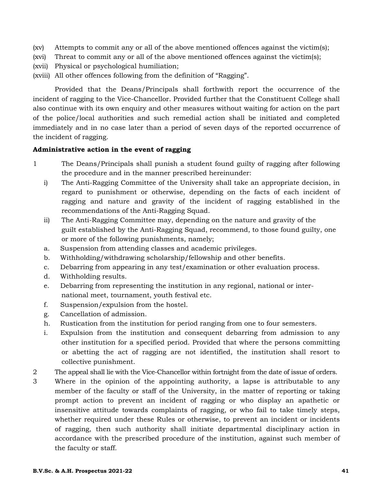- (xv) Attempts to commit any or all of the above mentioned offences against the victim(s);
- (xvi) Threat to commit any or all of the above mentioned offences against the victim(s);
- (xvii) Physical or psychological humiliation;
- (xviii) All other offences following from the definition of "Ragging".

Provided that the Deans/Principals shall forthwith report the occurrence of the incident of ragging to the Vice-Chancellor. Provided further that the Constituent College shall also continue with its own enquiry and other measures without waiting for action on the part of the police/local authorities and such remedial action shall be initiated and completed immediately and in no case later than a period of seven days of the reported occurrence of the incident of ragging.

## **Administrative action in the event of ragging**

- 1 The Deans/Principals shall punish a student found guilty of ragging after following the procedure and in the manner prescribed hereinunder:
	- i) The Anti-Ragging Committee of the University shall take an appropriate decision, in regard to punishment or otherwise, depending on the facts of each incident of ragging and nature and gravity of the incident of ragging established in the recommendations of the Anti-Ragging Squad.
	- ii) The Anti-Ragging Committee may, depending on the nature and gravity of the guilt established by the Anti-Ragging Squad, recommend, to those found guilty, one or more of the following punishments, namely;
	- a. Suspension from attending classes and academic privileges.
	- b. Withholding/withdrawing scholarship/fellowship and other benefits.
	- c. Debarring from appearing in any test/examination or other evaluation process.
	- d. Withholding results.
	- e. Debarring from representing the institution in any regional, national or international meet, tournament, youth festival etc.
	- f. Suspension/expulsion from the hostel.
	- g. Cancellation of admission.
	- h. Rustication from the institution for period ranging from one to four semesters.
	- i. Expulsion from the institution and consequent debarring from admission to any other institution for a specified period. Provided that where the persons committing or abetting the act of ragging are not identified, the institution shall resort to collective punishment.
- 2 The appeal shall lie with the Vice-Chancellor within fortnight from the date of issue of orders.
- 3 Where in the opinion of the appointing authority, a lapse is attributable to any member of the faculty or staff of the University, in the matter of reporting or taking prompt action to prevent an incident of ragging or who display an apathetic or insensitive attitude towards complaints of ragging, or who fail to take timely steps, whether required under these Rules or otherwise, to prevent an incident or incidents of ragging, then such authority shall initiate departmental disciplinary action in accordance with the prescribed procedure of the institution, against such member of the faculty or staff.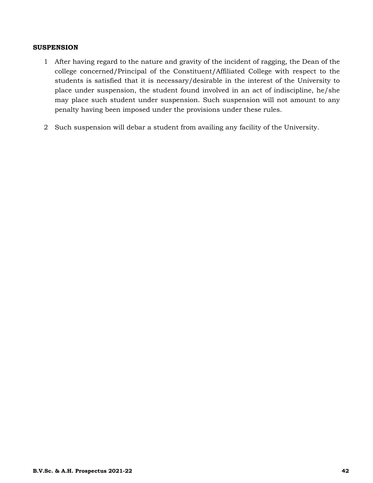#### **SUSPENSION**

- 1 After having regard to the nature and gravity of the incident of ragging, the Dean of the college concerned/Principal of the Constituent/Affiliated College with respect to the students is satisfied that it is necessary/desirable in the interest of the University to place under suspension, the student found involved in an act of indiscipline, he/she may place such student under suspension. Such suspension will not amount to any penalty having been imposed under the provisions under these rules.
- 2 Such suspension will debar a student from availing any facility of the University.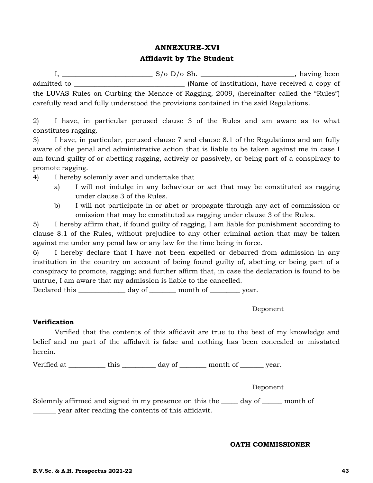## **ANNEXURE-XVI Affidavit by The Student**

I, \_\_\_\_\_\_\_\_\_\_\_\_\_\_\_\_\_\_\_\_\_\_\_\_\_\_\_ S/o D/o Sh. \_\_\_\_\_\_\_\_\_\_\_\_\_\_\_\_\_\_\_\_\_\_\_\_\_\_\_\_, having been admitted to \_\_\_\_\_\_\_\_\_\_\_\_\_\_\_\_\_\_\_\_\_\_\_\_\_\_\_\_\_\_\_\_\_ (Name of institution), have received a copy of the LUVAS Rules on Curbing the Menace of Ragging, 2009, (hereinafter called the "Rules") carefully read and fully understood the provisions contained in the said Regulations.

2) I have, in particular perused clause 3 of the Rules and am aware as to what constitutes ragging.

3) I have, in particular, perused clause 7 and clause 8.1 of the Regulations and am fully aware of the penal and administrative action that is liable to be taken against me in case I am found guilty of or abetting ragging, actively or passively, or being part of a conspiracy to promote ragging.

- 4) I hereby solemnly aver and undertake that
	- a) I will not indulge in any behaviour or act that may be constituted as ragging under clause 3 of the Rules.
	- b) I will not participate in or abet or propagate through any act of commission or omission that may be constituted as ragging under clause 3 of the Rules.

5) I hereby affirm that, if found guilty of ragging, I am liable for punishment according to clause 8.1 of the Rules, without prejudice to any other criminal action that may be taken against me under any penal law or any law for the time being in force.

6) I hereby declare that I have not been expelled or debarred from admission in any institution in the country on account of being found guilty of, abetting or being part of a conspiracy to promote, ragging; and further affirm that, in case the declaration is found to be untrue, I am aware that my admission is liable to the cancelled.

Declared this \_\_\_\_\_\_\_\_\_\_\_\_\_\_\_ day of \_\_\_\_\_\_\_\_\_ month of \_\_\_\_\_\_\_\_\_ year.

Deponent

## **Verification**

Verified that the contents of this affidavit are true to the best of my knowledge and belief and no part of the affidavit is false and nothing has been concealed or misstated herein.

Verified at \_\_\_\_\_\_\_\_\_\_\_\_ this \_\_\_\_\_\_\_\_\_\_ day of \_\_\_\_\_\_\_\_ month of \_\_\_\_\_\_\_ year.

Deponent

Solemnly affirmed and signed in my presence on this the \_\_\_\_\_ day of \_\_\_\_\_\_ month of \_\_\_\_\_\_\_ year after reading the contents of this affidavit.

## **OATH COMMISSIONER**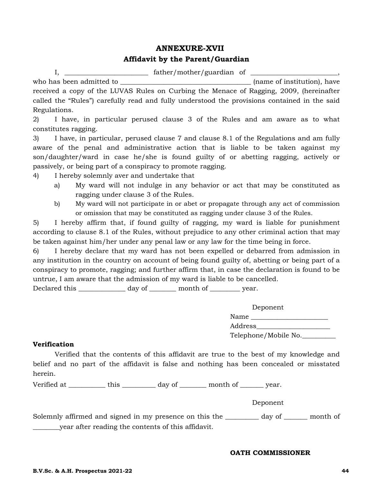## **ANNEXURE-XVII**

## **Affidavit by the Parent/Guardian**

I, \_\_\_\_\_\_\_\_\_\_\_\_\_\_\_\_\_\_\_\_\_\_\_\_\_ father/mother/guardian of \_\_\_\_\_\_\_\_\_\_\_\_\_\_\_\_\_\_\_\_\_\_\_\_\_\_, who has been admitted to **with a set of institution**, have received a copy of the LUVAS Rules on Curbing the Menace of Ragging, 2009, (hereinafter called the "Rules") carefully read and fully understood the provisions contained in the said Regulations.

2) I have, in particular perused clause 3 of the Rules and am aware as to what constitutes ragging.

3) I have, in particular, perused clause 7 and clause 8.1 of the Regulations and am fully aware of the penal and administrative action that is liable to be taken against my son/daughter/ward in case he/she is found guilty of or abetting ragging, actively or passively, or being part of a conspiracy to promote ragging.

- 4) I hereby solemnly aver and undertake that
	- a) My ward will not indulge in any behavior or act that may be constituted as ragging under clause 3 of the Rules.
	- b) My ward will not participate in or abet or propagate through any act of commission or omission that may be constituted as ragging under clause 3 of the Rules.

5) I hereby affirm that, if found guilty of ragging, my ward is liable for punishment according to clause 8.1 of the Rules, without prejudice to any other criminal action that may be taken against him/her under any penal law or any law for the time being in force.

6) I hereby declare that my ward has not been expelled or debarred from admission in any institution in the country on account of being found guilty of, abetting or being part of a conspiracy to promote, ragging; and further affirm that, in case the declaration is found to be untrue, I am aware that the admission of my ward is liable to be cancelled.

Declared this \_\_\_\_\_\_\_\_\_\_\_\_\_\_\_ day of \_\_\_\_\_\_\_\_\_ month of \_\_\_\_\_\_\_\_\_ year.

|         | Deponent             |
|---------|----------------------|
| Name    |                      |
| Address |                      |
|         | Telephone/Mobile No. |

## **Verification**

Verified that the contents of this affidavit are true to the best of my knowledge and belief and no part of the affidavit is false and nothing has been concealed or misstated herein.

Verified at \_\_\_\_\_\_\_\_\_\_\_\_\_ this \_\_\_\_\_\_\_\_\_\_\_ day of \_\_\_\_\_\_\_\_ month of \_\_\_\_\_\_\_ year.

Deponent

Solemnly affirmed and signed in my presence on this the \_\_\_\_\_\_\_\_\_\_ day of \_\_\_\_\_\_\_ month of \_\_\_\_\_\_\_\_year after reading the contents of this affidavit.

#### **OATH COMMISSIONER**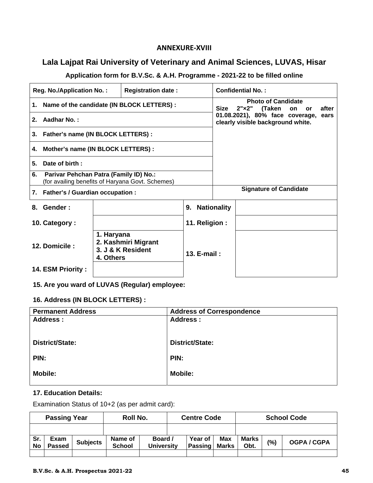## **ANNEXURE‐XVIII**

## **Lala Lajpat Rai University of Veterinary and Animal Sciences, LUVAS, Hisar**

## **Application form for B.V.Sc. & A.H. Programme - 2021-22 to be filled online**

|    | <b>Reg. No./Application No.:</b>                                                           |                         | <b>Confidential No.:</b>                      |                                                                               |                    |                                                                      |  |       |  |
|----|--------------------------------------------------------------------------------------------|-------------------------|-----------------------------------------------|-------------------------------------------------------------------------------|--------------------|----------------------------------------------------------------------|--|-------|--|
|    |                                                                                            |                         | 1. Name of the candidate (IN BLOCK LETTERS) : | <b>Photo of Candidate</b><br>$2" \times 2"$<br>Size<br>(Taken on<br><b>or</b> |                    |                                                                      |  | after |  |
| 2. | Aadhar No.:                                                                                |                         |                                               |                                                                               |                    | 01.08.2021), 80% face coverage,<br>clearly visible background white. |  | ears  |  |
|    | 3. Father's name (IN BLOCK LETTERS) :                                                      |                         |                                               |                                                                               |                    |                                                                      |  |       |  |
| 4. | Mother's name (IN BLOCK LETTERS) :                                                         |                         |                                               |                                                                               |                    |                                                                      |  |       |  |
| 5. | Date of birth:                                                                             |                         |                                               |                                                                               |                    |                                                                      |  |       |  |
| 6. | Parivar Pehchan Patra (Family ID) No.:<br>(for availing benefits of Haryana Govt. Schemes) |                         |                                               |                                                                               |                    |                                                                      |  |       |  |
|    | 7. Father's / Guardian occupation :                                                        |                         | <b>Signature of Candidate</b>                 |                                                                               |                    |                                                                      |  |       |  |
| 8. | Gender:                                                                                    |                         |                                               | 9.                                                                            | <b>Nationality</b> |                                                                      |  |       |  |
|    | 10. Category:                                                                              |                         |                                               | 11. Religion:                                                                 |                    |                                                                      |  |       |  |
|    | 12. Domicile:                                                                              | 1. Haryana<br>4. Others | 2. Kashmiri Migrant<br>3. J & K Resident      | 13. $E$ -mail:                                                                |                    |                                                                      |  |       |  |
|    | 14. ESM Priority:                                                                          |                         |                                               |                                                                               |                    |                                                                      |  |       |  |

**15. Are you ward of LUVAS (Regular) employee:** 

## **16. Address (IN BLOCK LETTERS) :**

| <b>Permanent Address</b> | <b>Address of Correspondence</b> |
|--------------------------|----------------------------------|
| <b>Address:</b>          | <b>Address:</b>                  |
|                          |                                  |
| District/State:          | <b>District/State:</b>           |
| PIN:                     | PIN:                             |
|                          |                                  |
| <b>Mobile:</b>           | <b>Mobile:</b>                   |
|                          |                                  |

## **17. Education Details:**

Examination Status of 10+2 (as per admit card):

| <b>Passing Year</b> |                       |                 | Roll No.                 |                              | <b>Centre Code</b> |                    |              | <b>School Code</b> |     |           |
|---------------------|-----------------------|-----------------|--------------------------|------------------------------|--------------------|--------------------|--------------|--------------------|-----|-----------|
|                     |                       |                 |                          |                              |                    |                    |              |                    |     |           |
| Sr.<br>No           | Exam<br><b>Passed</b> | <b>Subjects</b> | Name of<br><b>School</b> | Board /<br><b>University</b> |                    | Year of<br>Passing | Max<br>Marks | Marks<br>Obt.      | (%) | OGPA/CGPA |
|                     |                       |                 |                          |                              |                    |                    |              |                    |     |           |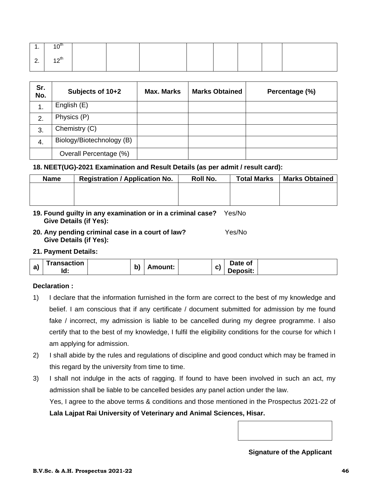| . .                | ⊿ ∧th            |  |  |  |  |
|--------------------|------------------|--|--|--|--|
| $\sim$<br><u>.</u> | $10^{th}$<br>. . |  |  |  |  |

| Sr.<br>No. | Subjects of 10+2          | <b>Max. Marks</b> | <b>Marks Obtained</b> | Percentage (%) |
|------------|---------------------------|-------------------|-----------------------|----------------|
|            | English (E)               |                   |                       |                |
| 2.         | Physics (P)               |                   |                       |                |
| 3.         | Chemistry (C)             |                   |                       |                |
| 4.         | Biology/Biotechnology (B) |                   |                       |                |
|            | Overall Percentage (%)    |                   |                       |                |

#### **18. NEET(UG)-2021 Examination and Result Details (as per admit / result card):**

| <b>Name</b> | <b>Registration / Application No.</b> | Roll No. | <b>Total Marks</b> | <b>Marks Obtained</b> |
|-------------|---------------------------------------|----------|--------------------|-----------------------|
|             |                                       |          |                    |                       |
|             |                                       |          |                    |                       |
|             |                                       |          |                    |                       |

- **19. Found guilty in any examination or in a criminal case?** Yes/No  **Give Details (if Yes):**
- **20. Any pending criminal case in a court of law?** Yes/No **Give Details (if Yes):**

**21. Payment Details:** 

| a) | Transaction | <b>L</b><br>ומ<br>. . | \mount: | $\sim$<br> | Date of  |  |
|----|-------------|-----------------------|---------|------------|----------|--|
|    | Id.         |                       |         |            | Deposit: |  |

## **Declaration :**

- 1) I declare that the information furnished in the form are correct to the best of my knowledge and belief. I am conscious that if any certificate / document submitted for admission by me found fake / incorrect, my admission is liable to be cancelled during my degree programme. I also certify that to the best of my knowledge, I fulfil the eligibility conditions for the course for which I am applying for admission.
- 2) I shall abide by the rules and regulations of discipline and good conduct which may be framed in this regard by the university from time to time.
- 3) I shall not indulge in the acts of ragging. If found to have been involved in such an act, my admission shall be liable to be cancelled besides any panel action under the law. Yes, I agree to the above terms & conditions and those mentioned in the Prospectus 2021-22 of **Lala Lajpat Rai University of Veterinary and Animal Sciences, Hisar.**

**Signature of the Applicant**